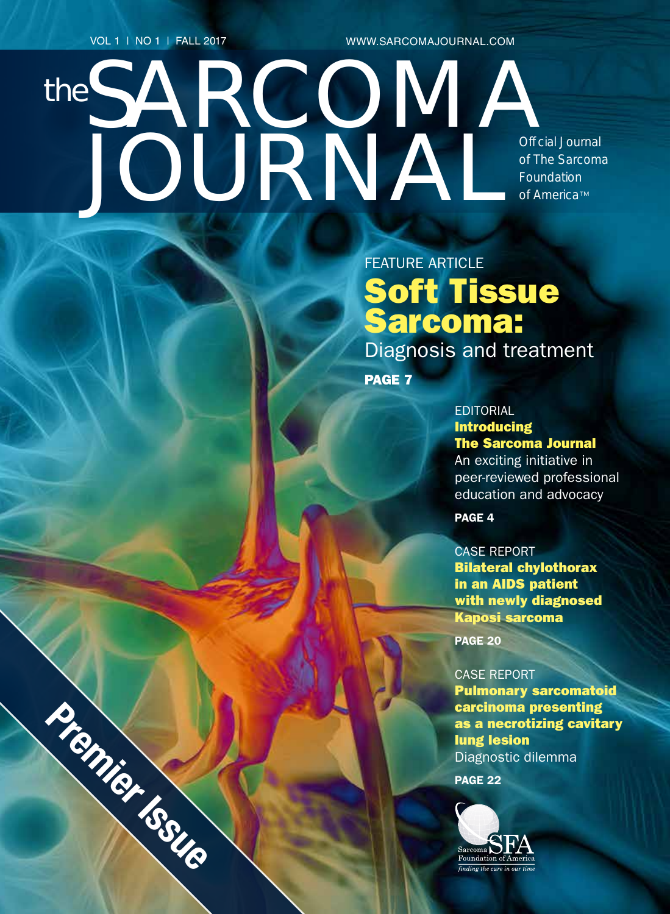VOL 1 | NO 1 | FALL 2017

Premier Issue

the

WWW.SARCOMAJOURNAL.COM

SARCOMA Of cial Journal *of The Sarcoma Foundation of America*™

# FEATURE ARTICLE Soft Tissue Sarcoma: Diagnosis and treatment

PAGE 7

JOURNAL

#### **EDITORIAL** Introducing The Sarcoma Journal

An exciting initiative in peer-reviewed professional education and advocacy

PAGE 4

CASE REPORT Bilateral chylothorax in an AIDS patient with newly diagnosed Kaposi sarcoma

PAGE 20

CASE REPORT Pulmonary sarcomatoid carcinoma presenting as a necrotizing cavitary lung lesion Diagnostic dilemma PAGE 22

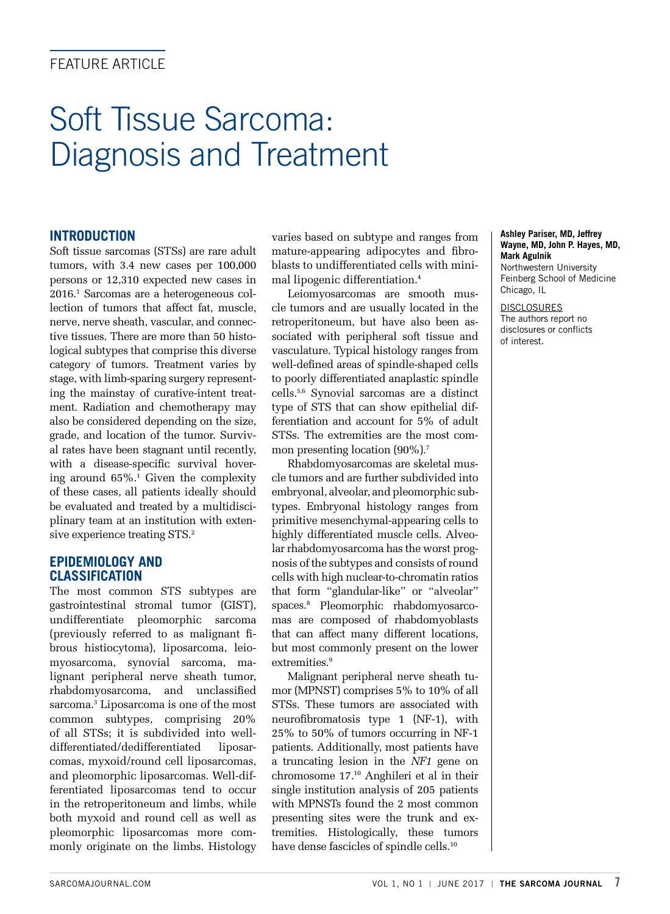### **FFATURE ARTICLE**

# Soft Tissue Sarcoma: Diagnosis and Treatment

#### **INTRODUCTION**

Soft tissue sarcomas (STSs) are rare adult tumors, with 3.4 new cases per 100,000 persons or 12,310 expected new cases in 2016.1 Sarcomas are a heterogeneous collection of tumors that affect fat, muscle, nerve, nerve sheath, vascular, and connective tissues. There are more than 50 histological subtypes that comprise this diverse category of tumors. Treatment varies by stage, with limb-sparing surgery representing the mainstay of curative-intent treatment. Radiation and chemotherapy may also be considered depending on the size, grade, and location of the tumor. Survival rates have been stagnant until recently, with a disease-specific survival hovering around 65%.1 Given the complexity of these cases, all patients ideally should be evaluated and treated by a multidisciplinary team at an institution with extensive experience treating STS.<sup>2</sup>

#### **EPIDEMIOLOGY AND CLASSIFICATION**

The most common STS subtypes are gastrointestinal stromal tumor (GIST), undifferentiate pleomorphic sarcoma (previously referred to as malignant fibrous histiocytoma), liposarcoma, leiomyosarcoma, synovial sarcoma, malignant peripheral nerve sheath tumor, rhabdomyosarcoma, and unclassified sarcoma.3 Liposarcoma is one of the most common subtypes, comprising 20% of all STSs; it is subdivided into welldifferentiated/dedifferentiated liposarcomas, myxoid/round cell liposarcomas, and pleomorphic liposarcomas. Well-differentiated liposarcomas tend to occur in the retroperitoneum and limbs, while both myxoid and round cell as well as pleomorphic liposarcomas more commonly originate on the limbs. Histology

varies based on subtype and ranges from mature-appearing adipocytes and fibroblasts to undifferentiated cells with minimal lipogenic differentiation.4

Leiomyosarcomas are smooth muscle tumors and are usually located in the retroperitoneum, but have also been associated with peripheral soft tissue and vasculature. Typical histology ranges from well-defined areas of spindle-shaped cells to poorly differentiated anaplastic spindle cells.5,6 Synovial sarcomas are a distinct type of STS that can show epithelial differentiation and account for 5% of adult STSs. The extremities are the most common presenting location (90%).<sup>7</sup>

Rhabdomyosarcomas are skeletal muscle tumors and are further subdivided into embryonal, alveolar, and pleomorphic subtypes. Embryonal histology ranges from primitive mesenchymal-appearing cells to highly differentiated muscle cells. Alveolar rhabdomyosarcoma has the worst prognosis of the subtypes and consists of round cells with high nuclear-to-chromatin ratios that form "glandular-like" or "alveolar" spaces.8 Pleomorphic rhabdomyosarcomas are composed of rhabdomyoblasts that can affect many different locations, but most commonly present on the lower extremities.<sup>9</sup>

Malignant peripheral nerve sheath tumor (MPNST) comprises 5% to 10% of all STSs. These tumors are associated with neurofibromatosis type 1 (NF-1), with 25% to 50% of tumors occurring in NF-1 patients. Additionally, most patients have a truncating lesion in the *NF1* gene on chromosome 17.10 Anghileri et al in their single institution analysis of 205 patients with MPNSTs found the 2 most common presenting sites were the trunk and extremities. Histologically, these tumors have dense fascicles of spindle cells.10

#### **Ashley Pariser, MD, Jeffrey Wayne, MD, John P. Hayes, MD, Mark Agulnik** Northwestern University

Feinberg School of Medicine Chicago, IL

DISCLOSURES The authors report no disclosures or conflicts of interest.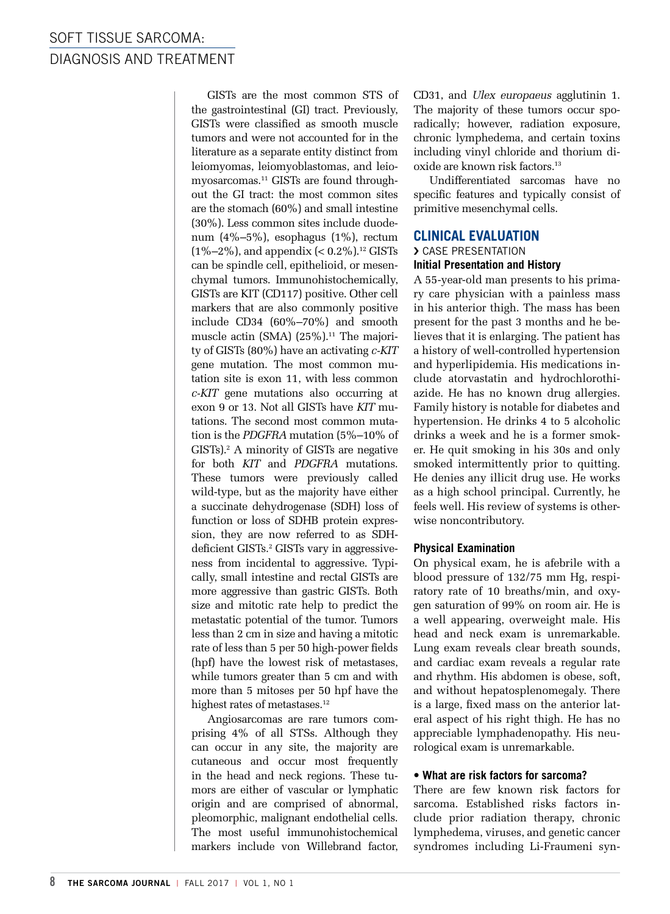GISTs are the most common STS of the gastrointestinal (GI) tract. Previously, GISTs were classified as smooth muscle tumors and were not accounted for in the literature as a separate entity distinct from leiomyomas, leiomyoblastomas, and leiomyosarcomas.11 GISTs are found throughout the GI tract: the most common sites are the stomach (60%) and small intestine (30%). Less common sites include duodenum (4%–5%), esophagus (1%), rectum  $(1\% - 2\%)$ , and appendix  $( $0.2\%$ )$ .<sup>12</sup> GISTs can be spindle cell, epithelioid, or mesenchymal tumors. Immunohistochemically, GISTs are KIT (CD117) positive. Other cell markers that are also commonly positive include CD34 (60%–70%) and smooth muscle actin (SMA)  $(25\%)$ .<sup>11</sup> The majority of GISTs (80%) have an activating *c-KIT* gene mutation. The most common mutation site is exon 11, with less common *c-KIT* gene mutations also occurring at exon 9 or 13. Not all GISTs have *KIT* mutations. The second most common mutation is the *PDGFRA* mutation (5%–10% of GISTs).2 A minority of GISTs are negative for both *KIT* and *PDGFRA* mutations. These tumors were previously called wild-type, but as the majority have either a succinate dehydrogenase (SDH) loss of function or loss of SDHB protein expression, they are now referred to as SDHdeficient GISTs.<sup>2</sup> GISTs vary in aggressiveness from incidental to aggressive. Typically, small intestine and rectal GISTs are more aggressive than gastric GISTs. Both size and mitotic rate help to predict the metastatic potential of the tumor. Tumors less than 2 cm in size and having a mitotic rate of less than 5 per 50 high-power fields (hpf) have the lowest risk of metastases, while tumors greater than 5 cm and with more than 5 mitoses per 50 hpf have the highest rates of metastases.<sup>12</sup>

Angiosarcomas are rare tumors comprising 4% of all STSs. Although they can occur in any site, the majority are cutaneous and occur most frequently in the head and neck regions. These tumors are either of vascular or lymphatic origin and are comprised of abnormal, pleomorphic, malignant endothelial cells. The most useful immunohistochemical markers include von Willebrand factor, CD31, and *Ulex europaeus* agglutinin 1. The majority of these tumors occur sporadically; however, radiation exposure, chronic lymphedema, and certain toxins including vinyl chloride and thorium dioxide are known risk factors.13

Undifferentiated sarcomas have no specific features and typically consist of primitive mesenchymal cells.

#### **CLINICAL EVALUATION**

#### › CASE PRESENTATION

#### **Initial Presentation and History**

A 55-year-old man presents to his primary care physician with a painless mass in his anterior thigh. The mass has been present for the past 3 months and he believes that it is enlarging. The patient has a history of well-controlled hypertension and hyperlipidemia. His medications include atorvastatin and hydrochlorothiazide. He has no known drug allergies. Family history is notable for diabetes and hypertension. He drinks 4 to 5 alcoholic drinks a week and he is a former smoker. He quit smoking in his 30s and only smoked intermittently prior to quitting. He denies any illicit drug use. He works as a high school principal. Currently, he feels well. His review of systems is otherwise noncontributory.

#### **Physical Examination**

On physical exam, he is afebrile with a blood pressure of 132/75 mm Hg, respiratory rate of 10 breaths/min, and oxygen saturation of 99% on room air. He is a well appearing, overweight male. His head and neck exam is unremarkable. Lung exam reveals clear breath sounds, and cardiac exam reveals a regular rate and rhythm. His abdomen is obese, soft, and without hepatosplenomegaly. There is a large, fixed mass on the anterior lateral aspect of his right thigh. He has no appreciable lymphadenopathy. His neurological exam is unremarkable.

#### **• What are risk factors for sarcoma?**

There are few known risk factors for sarcoma. Established risks factors include prior radiation therapy, chronic lymphedema, viruses, and genetic cancer syndromes including Li-Fraumeni syn-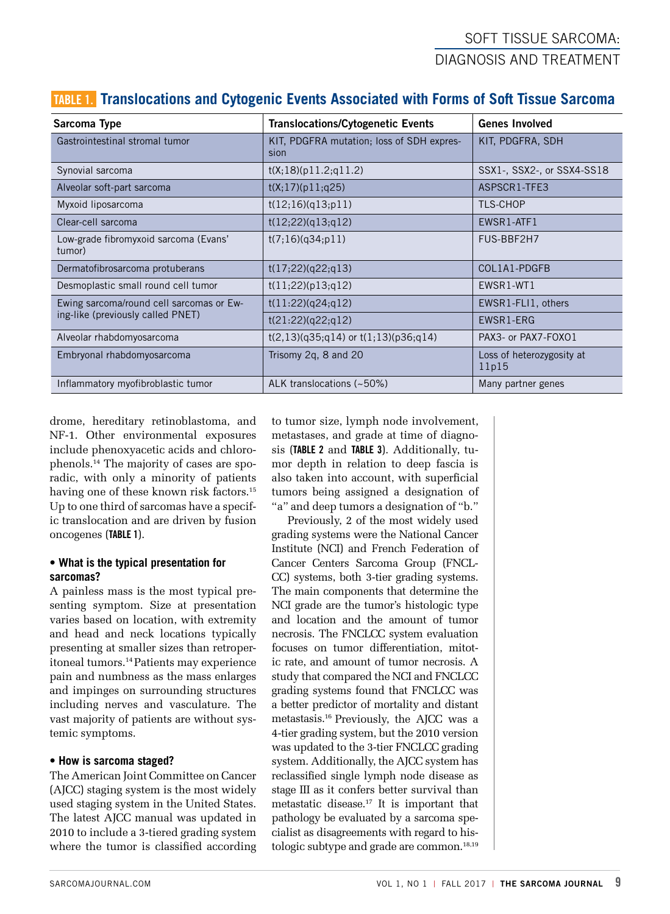## SOFT TISSUE SARCOMA: DIAGNOSIS AND TREATMENT

| Sarcoma Type                                    | <b>Translocations/Cytogenetic Events</b>          | <b>Genes Involved</b>              |  |
|-------------------------------------------------|---------------------------------------------------|------------------------------------|--|
| Gastrointestinal stromal tumor                  | KIT, PDGFRA mutation; loss of SDH expres-<br>sion | KIT, PDGFRA, SDH                   |  |
| Synovial sarcoma                                | t(X;18)(p11.2;q11.2)                              | SSX1-, SSX2-, or SSX4-SS18         |  |
| Alveolar soft-part sarcoma                      | t(X;17)(p11;q25)                                  | ASPSCR1-TFE3                       |  |
| Myxoid liposarcoma                              | t(12;16)(q13;p11)                                 | <b>TLS-CHOP</b>                    |  |
| Clear-cell sarcoma                              | t(12;22)(q13;q12)                                 | EWSR1-ATF1                         |  |
| Low-grade fibromyxoid sarcoma (Evans'<br>tumor) | t(7;16)(q34;p11)                                  | FUS-BBF2H7                         |  |
| Dermatofibrosarcoma protuberans                 | t(17;22)(q22;q13)                                 | COL1A1-PDGFB                       |  |
| Desmoplastic small round cell tumor             | t(11;22)(p13;q12)                                 | EWSR1-WT1                          |  |
| Ewing sarcoma/round cell sarcomas or Ew-        | t(11:22)(q24;q12)                                 | EWSR1-FLI1, others                 |  |
| ing-like (previously called PNET)               | t(21:22)(q22;q12)                                 | EWSR1-ERG                          |  |
| Alveolar rhabdomyosarcoma                       | $t(2,13)(q35;q14)$ or $t(1,13)(p36;q14)$          | PAX3- or PAX7-FOXO1                |  |
| Embryonal rhabdomyosarcoma                      | Trisomy 2q, 8 and 20                              | Loss of heterozygosity at<br>11p15 |  |
| Inflammatory myofibroblastic tumor              | ALK translocations (~50%)                         | Many partner genes                 |  |

### TABLE 1. **Translocations and Cytogenic Events Associated with Forms of Soft Tissue Sarcoma**

drome, hereditary retinoblastoma, and NF-1. Other environmental exposures include phenoxyacetic acids and chlorophenols.14 The majority of cases are sporadic, with only a minority of patients having one of these known risk factors.<sup>15</sup> Up to one third of sarcomas have a specific translocation and are driven by fusion oncogenes (TABLE 1).

#### **• What is the typical presentation for sarcomas?**

A painless mass is the most typical presenting symptom. Size at presentation varies based on location, with extremity and head and neck locations typically presenting at smaller sizes than retroperitoneal tumors.14 Patients may experience pain and numbness as the mass enlarges and impinges on surrounding structures including nerves and vasculature. The vast majority of patients are without systemic symptoms.

#### **• How is sarcoma staged?**

The American Joint Committee on Cancer (AJCC) staging system is the most widely used staging system in the United States. The latest AJCC manual was updated in 2010 to include a 3-tiered grading system where the tumor is classified according to tumor size, lymph node involvement, metastases, and grade at time of diagnosis (TABLE 2 and TABLE 3). Additionally, tumor depth in relation to deep fascia is also taken into account, with superficial tumors being assigned a designation of "a" and deep tumors a designation of "b."

Previously, 2 of the most widely used grading systems were the National Cancer Institute (NCI) and French Federation of Cancer Centers Sarcoma Group (FNCL-CC) systems, both 3-tier grading systems. The main components that determine the NCI grade are the tumor's histologic type and location and the amount of tumor necrosis. The FNCLCC system evaluation focuses on tumor differentiation, mitotic rate, and amount of tumor necrosis. A study that compared the NCI and FNCLCC grading systems found that FNCLCC was a better predictor of mortality and distant metastasis.16 Previously, the AJCC was a 4-tier grading system, but the 2010 version was updated to the 3-tier FNCLCC grading system. Additionally, the AJCC system has reclassified single lymph node disease as stage III as it confers better survival than metastatic disease.17 It is important that pathology be evaluated by a sarcoma specialist as disagreements with regard to histologic subtype and grade are common.<sup>18,19</sup>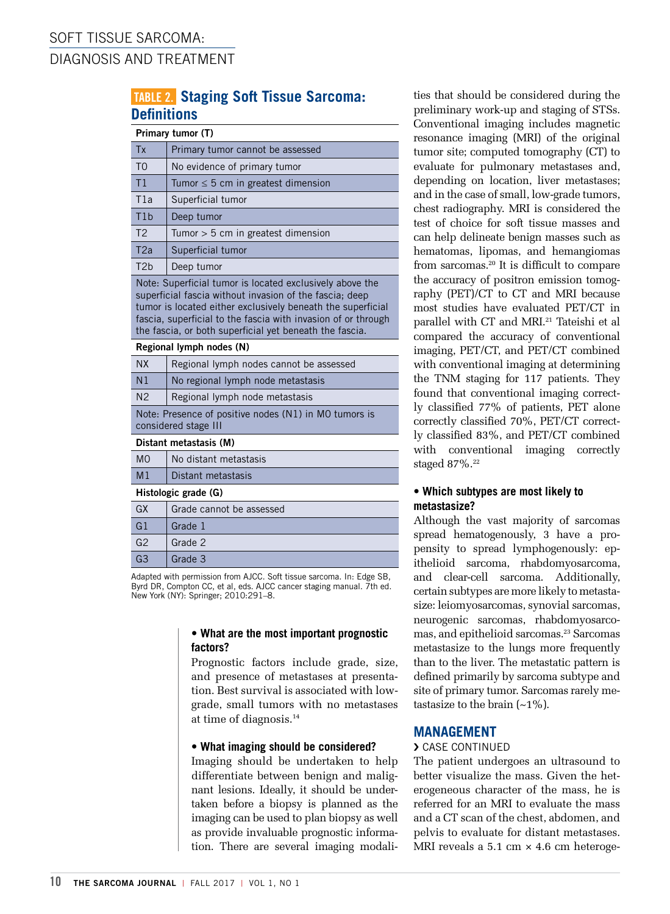### TABLE 2. **Staging Soft Tissue Sarcoma: Definitions**

| Primary tumor (T) |                                         |  |  |  |
|-------------------|-----------------------------------------|--|--|--|
| <b>Tx</b>         | Primary tumor cannot be assessed        |  |  |  |
| T <sub>0</sub>    | No evidence of primary tumor            |  |  |  |
| T1                | Tumor $\leq 5$ cm in greatest dimension |  |  |  |
| T1a               | Superficial tumor                       |  |  |  |
| T1b               | Deep tumor                              |  |  |  |
| T <sub>2</sub>    | Tumor $>$ 5 cm in greatest dimension    |  |  |  |
| T2a               | Superficial tumor                       |  |  |  |
| T2h               | Deep tumor                              |  |  |  |

Note: Superficial tumor is located exclusively above the superficial fascia without invasion of the fascia; deep tumor is located either exclusively beneath the superficial fascia, superficial to the fascia with invasion of or through the fascia, or both superficial yet beneath the fascia.

| Regional lymph nodes (N)                                                      |                                         |  |  |  |  |
|-------------------------------------------------------------------------------|-----------------------------------------|--|--|--|--|
| <b>NX</b>                                                                     | Regional lymph nodes cannot be assessed |  |  |  |  |
| N <sub>1</sub>                                                                | No regional lymph node metastasis       |  |  |  |  |
| N <sub>2</sub>                                                                | Regional lymph node metastasis          |  |  |  |  |
| Note: Presence of positive nodes (N1) in MO tumors is<br>considered stage III |                                         |  |  |  |  |
| Distant metastasis (M)                                                        |                                         |  |  |  |  |
| M <sub>O</sub>                                                                | No distant metastasis                   |  |  |  |  |
| M <sub>1</sub>                                                                | Distant metastasis                      |  |  |  |  |
| Histologic grade (G)                                                          |                                         |  |  |  |  |
| $\sim$                                                                        | $\sim$ $\sim$ $\sim$ $\sim$             |  |  |  |  |

|                | Grade cannot be assessed |
|----------------|--------------------------|
| G <sub>1</sub> | Grade 1                  |
| G2             | Grade 2                  |
| G3             | Grade 3                  |
|                |                          |

Adapted with permission from AJCC. Soft tissue sarcoma. In: Edge SB, Byrd DR, Compton CC, et al, eds. AJCC cancer staging manual. 7th ed. New York (NY): Springer; 2010:291–8.

#### **• What are the most important prognostic factors?**

Prognostic factors include grade, size, and presence of metastases at presentation. Best survival is associated with lowgrade, small tumors with no metastases at time of diagnosis.14

#### **• What imaging should be considered?**

Imaging should be undertaken to help differentiate between benign and malignant lesions. Ideally, it should be undertaken before a biopsy is planned as the imaging can be used to plan biopsy as well as provide invaluable prognostic information. There are several imaging modalities that should be considered during the preliminary work-up and staging of STSs. Conventional imaging includes magnetic resonance imaging (MRI) of the original tumor site; computed tomography (CT) to evaluate for pulmonary metastases and, depending on location, liver metastases; and in the case of small, low-grade tumors, chest radiography. MRI is considered the test of choice for soft tissue masses and can help delineate benign masses such as hematomas, lipomas, and hemangiomas from sarcomas.20 It is difficult to compare the accuracy of positron emission tomography (PET)/CT to CT and MRI because most studies have evaluated PET/CT in parallel with CT and MRI.<sup>21</sup> Tateishi et al compared the accuracy of conventional imaging, PET/CT, and PET/CT combined with conventional imaging at determining the TNM staging for 117 patients. They found that conventional imaging correctly classified 77% of patients, PET alone correctly classified 70%, PET/CT correctly classified 83%, and PET/CT combined with conventional imaging correctly staged 87%.22

#### **• Which subtypes are most likely to metastasize?**

Although the vast majority of sarcomas spread hematogenously, 3 have a propensity to spread lymphogenously: epithelioid sarcoma, rhabdomyosarcoma, and clear-cell sarcoma. Additionally, certain subtypes are more likely to metastasize: leiomyosarcomas, synovial sarcomas, neurogenic sarcomas, rhabdomyosarcomas, and epithelioid sarcomas.<sup>23</sup> Sarcomas metastasize to the lungs more frequently than to the liver. The metastatic pattern is defined primarily by sarcoma subtype and site of primary tumor. Sarcomas rarely metastasize to the brain  $(-1\%)$ .

#### **MANAGEMENT**

#### › CASE CONTINUED

The patient undergoes an ultrasound to better visualize the mass. Given the heterogeneous character of the mass, he is referred for an MRI to evaluate the mass and a CT scan of the chest, abdomen, and pelvis to evaluate for distant metastases. MRI reveals a  $5.1 \text{ cm} \times 4.6 \text{ cm}$  heteroge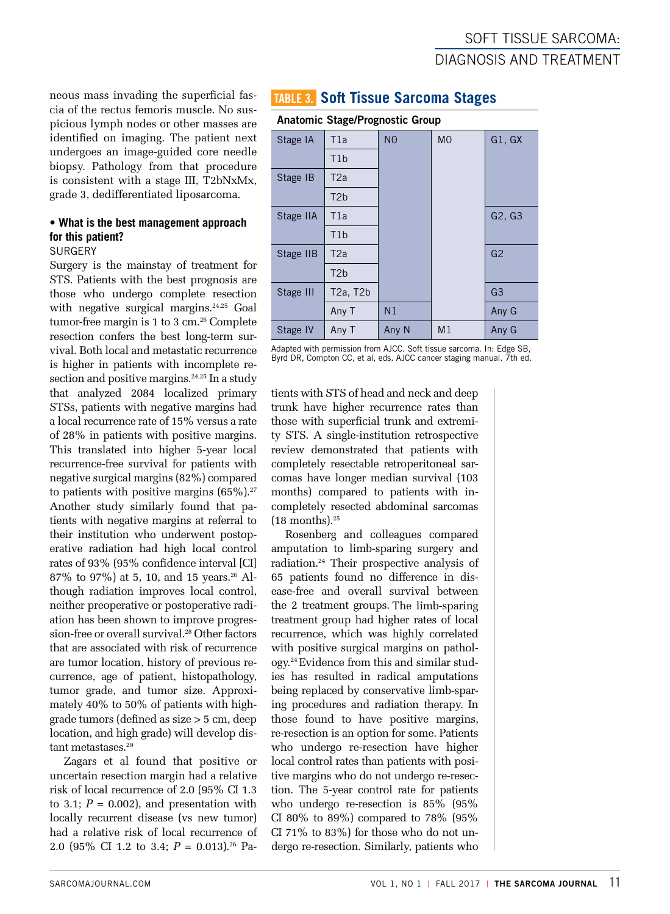neous mass invading the superficial fascia of the rectus femoris muscle. No suspicious lymph nodes or other masses are identified on imaging. The patient next undergoes an image-guided core needle biopsy. Pathology from that procedure is consistent with a stage III, T2bNxMx, grade 3, dedifferentiated liposarcoma.

#### **• What is the best management approach for this patient?**

#### **SURGERY**

Surgery is the mainstay of treatment for STS. Patients with the best prognosis are those who undergo complete resection with negative surgical margins.<sup>24,25</sup> Goal tumor-free margin is 1 to 3 cm.26 Complete resection confers the best long-term survival. Both local and metastatic recurrence is higher in patients with incomplete resection and positive margins.<sup>24,25</sup> In a study that analyzed 2084 localized primary STSs, patients with negative margins had a local recurrence rate of 15% versus a rate of 28% in patients with positive margins. This translated into higher 5-year local recurrence-free survival for patients with negative surgical margins (82%) compared to patients with positive margins  $(65\%)$ .<sup>27</sup> Another study similarly found that patients with negative margins at referral to their institution who underwent postoperative radiation had high local control rates of 93% (95% confidence interval [CI] 87% to 97%) at 5, 10, and 15 years.<sup>26</sup> Although radiation improves local control, neither preoperative or postoperative radiation has been shown to improve progression-free or overall survival.28 Other factors that are associated with risk of recurrence are tumor location, history of previous recurrence, age of patient, histopathology, tumor grade, and tumor size. Approximately 40% to 50% of patients with highgrade tumors (defined as size > 5 cm, deep location, and high grade) will develop distant metastases.<sup>29</sup>

Zagars et al found that positive or uncertain resection margin had a relative risk of local recurrence of 2.0 (95% CI 1.3 to 3.1;  $P = 0.002$ ), and presentation with locally recurrent disease (vs new tumor) had a relative risk of local recurrence of 2.0 (95% CI 1.2 to 3.4; *P* = 0.013).26 Pa-

### TABLE 3. **Soft Tissue Sarcoma Stages**

#### Anatomic Stage/Prognostic Group

| --- - - - - - - |                  |                |                |                |  |  |
|-----------------|------------------|----------------|----------------|----------------|--|--|
| Stage IA        | T1a              | N <sub>O</sub> | <b>MO</b>      | G1, GX         |  |  |
|                 | T1b              |                |                |                |  |  |
| Stage IB        | T <sub>2</sub> a |                |                |                |  |  |
|                 | T <sub>2</sub> b |                |                |                |  |  |
| Stage IIA       | T1a              |                |                | G2, G3         |  |  |
|                 | T1b              |                |                |                |  |  |
| Stage IIB       | T <sub>2</sub> a |                |                | G <sub>2</sub> |  |  |
|                 | T <sub>2</sub> b |                |                |                |  |  |
| Stage III       | T2a, T2b         |                |                | G <sub>3</sub> |  |  |
|                 | Any T            | N <sub>1</sub> |                | Any G          |  |  |
| Stage IV        | Any T            | Any N          | M <sub>1</sub> | Any G          |  |  |

Adapted with permission from AJCC. Soft tissue sarcoma. In: Edge SB, Byrd DR, Compton CC, et al, eds. AJCC cancer staging manual. 7th ed.

tients with STS of head and neck and deep trunk have higher recurrence rates than those with superficial trunk and extremity STS. A single-institution retrospective review demonstrated that patients with completely resectable retroperitoneal sarcomas have longer median survival (103 months) compared to patients with incompletely resected abdominal sarcomas  $(18$  months).<sup>25</sup>

Rosenberg and colleagues compared amputation to limb-sparing surgery and radiation.24 Their prospective analysis of 65 patients found no difference in disease-free and overall survival between the 2 treatment groups. The limb-sparing treatment group had higher rates of local recurrence, which was highly correlated with positive surgical margins on pathology.24 Evidence from this and similar studies has resulted in radical amputations being replaced by conservative limb-sparing procedures and radiation therapy. In those found to have positive margins, re-resection is an option for some. Patients who undergo re-resection have higher local control rates than patients with positive margins who do not undergo re-resection. The 5-year control rate for patients who undergo re-resection is 85% (95% CI 80% to 89%) compared to 78% (95% CI 71% to 83%) for those who do not undergo re-resection. Similarly, patients who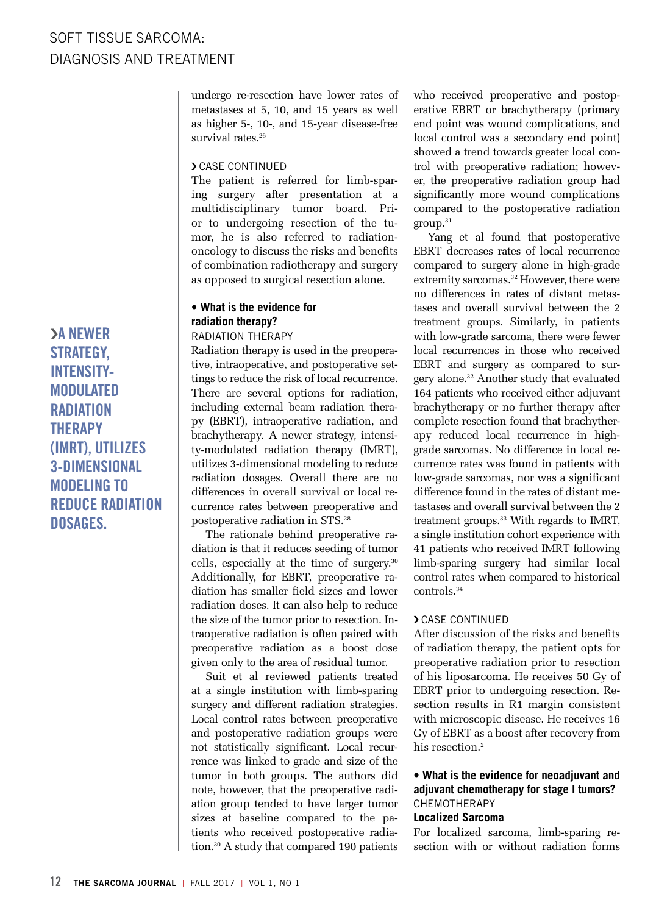undergo re-resection have lower rates of metastases at 5, 10, and 15 years as well as higher 5-, 10-, and 15-year disease-free survival rates.<sup>26</sup>

#### › CASE CONTINUED

The patient is referred for limb-sparing surgery after presentation at a multidisciplinary tumor board. Prior to undergoing resection of the tumor, he is also referred to radiationoncology to discuss the risks and benefits of combination radiotherapy and surgery as opposed to surgical resection alone.

#### **• What is the evidence for radiation therapy?** RADIATION THERAPY

Radiation therapy is used in the preoperative, intraoperative, and postoperative settings to reduce the risk of local recurrence. There are several options for radiation, including external beam radiation therapy (EBRT), intraoperative radiation, and brachytherapy. A newer strategy, intensity-modulated radiation therapy (IMRT), utilizes 3-dimensional modeling to reduce radiation dosages. Overall there are no differences in overall survival or local recurrence rates between preoperative and postoperative radiation in STS.28

The rationale behind preoperative radiation is that it reduces seeding of tumor cells, especially at the time of surgery.30 Additionally, for EBRT, preoperative radiation has smaller field sizes and lower radiation doses. It can also help to reduce the size of the tumor prior to resection. Intraoperative radiation is often paired with preoperative radiation as a boost dose given only to the area of residual tumor.

Suit et al reviewed patients treated at a single institution with limb-sparing surgery and different radiation strategies. Local control rates between preoperative and postoperative radiation groups were not statistically significant. Local recurrence was linked to grade and size of the tumor in both groups. The authors did note, however, that the preoperative radiation group tended to have larger tumor sizes at baseline compared to the patients who received postoperative radiation.30 A study that compared 190 patients

who received preoperative and postoperative EBRT or brachytherapy (primary end point was wound complications, and local control was a secondary end point) showed a trend towards greater local control with preoperative radiation; however, the preoperative radiation group had significantly more wound complications compared to the postoperative radiation group.31

Yang et al found that postoperative EBRT decreases rates of local recurrence compared to surgery alone in high-grade extremity sarcomas.<sup>32</sup> However, there were no differences in rates of distant metastases and overall survival between the 2 treatment groups. Similarly, in patients with low-grade sarcoma, there were fewer local recurrences in those who received EBRT and surgery as compared to surgery alone.32 Another study that evaluated 164 patients who received either adjuvant brachytherapy or no further therapy after complete resection found that brachytherapy reduced local recurrence in highgrade sarcomas. No difference in local recurrence rates was found in patients with low-grade sarcomas, nor was a significant difference found in the rates of distant metastases and overall survival between the 2 treatment groups.<sup>33</sup> With regards to IMRT, a single institution cohort experience with 41 patients who received IMRT following limb-sparing surgery had similar local control rates when compared to historical controls.34

#### › CASE CONTINUED

After discussion of the risks and benefits of radiation therapy, the patient opts for preoperative radiation prior to resection of his liposarcoma. He receives 50 Gy of EBRT prior to undergoing resection. Resection results in R1 margin consistent with microscopic disease. He receives 16 Gy of EBRT as a boost after recovery from his resection.<sup>2</sup>

#### **• What is the evidence for neoadjuvant and adjuvant chemotherapy for stage I tumors?** CHEMOTHERAPY

#### **Localized Sarcoma**

For localized sarcoma, limb-sparing resection with or without radiation forms

›A NEWER STRATEGY, INTENSITY-MODULATED **RADIATION THERAPY** (IMRT), UTILIZES 3-DIMENSIONAL MODELING TO REDUCE RADIATION DOSAGES.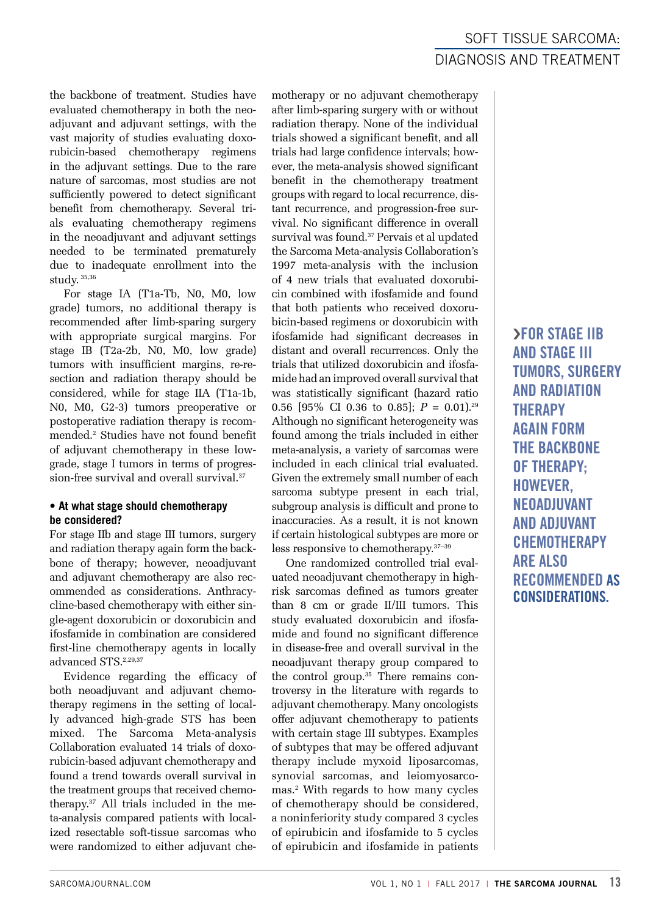SOFT TISSUE SARCOMA: DIAGNOSIS AND TREATMENT

the backbone of treatment. Studies have evaluated chemotherapy in both the neoadjuvant and adjuvant settings, with the vast majority of studies evaluating doxorubicin-based chemotherapy regimens in the adjuvant settings. Due to the rare nature of sarcomas, most studies are not sufficiently powered to detect significant benefit from chemotherapy. Several trials evaluating chemotherapy regimens in the neoadjuvant and adjuvant settings needed to be terminated prematurely due to inadequate enrollment into the study. 35,36

For stage IA (T1a-Tb, N0, M0, low grade) tumors, no additional therapy is recommended after limb-sparing surgery with appropriate surgical margins. For stage IB (T2a-2b, N0, M0, low grade) tumors with insufficient margins, re-resection and radiation therapy should be considered, while for stage IIA (T1a-1b, N0, M0, G2-3) tumors preoperative or postoperative radiation therapy is recommended.2 Studies have not found benefit of adjuvant chemotherapy in these lowgrade, stage I tumors in terms of progression-free survival and overall survival.<sup>37</sup>

#### **• At what stage should chemotherapy be considered?**

For stage IIb and stage III tumors, surgery and radiation therapy again form the backbone of therapy; however, neoadjuvant and adjuvant chemotherapy are also recommended as considerations. Anthracycline-based chemotherapy with either single-agent doxorubicin or doxorubicin and ifosfamide in combination are considered first-line chemotherapy agents in locally advanced STS.2,29,37

Evidence regarding the efficacy of both neoadjuvant and adjuvant chemotherapy regimens in the setting of locally advanced high-grade STS has been mixed. The Sarcoma Meta-analysis Collaboration evaluated 14 trials of doxorubicin-based adjuvant chemotherapy and found a trend towards overall survival in the treatment groups that received chemotherapy.37 All trials included in the meta-analysis compared patients with localized resectable soft-tissue sarcomas who were randomized to either adjuvant chemotherapy or no adjuvant chemotherapy after limb-sparing surgery with or without radiation therapy. None of the individual trials showed a significant benefit, and all trials had large confidence intervals; however, the meta-analysis showed significant benefit in the chemotherapy treatment groups with regard to local recurrence, distant recurrence, and progression-free survival. No significant difference in overall survival was found.37 Pervais et al updated the Sarcoma Meta-analysis Collaboration's 1997 meta-analysis with the inclusion of 4 new trials that evaluated doxorubicin combined with ifosfamide and found that both patients who received doxorubicin-based regimens or doxorubicin with ifosfamide had significant decreases in distant and overall recurrences. Only the trials that utilized doxorubicin and ifosfamide had an improved overall survival that was statistically significant (hazard ratio 0.56 [95% CI 0.36 to 0.85];  $P = 0.01$ .<sup>29</sup> Although no significant heterogeneity was found among the trials included in either meta-analysis, a variety of sarcomas were included in each clinical trial evaluated. Given the extremely small number of each sarcoma subtype present in each trial, subgroup analysis is difficult and prone to inaccuracies. As a result, it is not known if certain histological subtypes are more or less responsive to chemotherapy.37–39

One randomized controlled trial evaluated neoadjuvant chemotherapy in highrisk sarcomas defined as tumors greater than 8 cm or grade II/III tumors. This study evaluated doxorubicin and ifosfamide and found no significant difference in disease-free and overall survival in the neoadjuvant therapy group compared to the control group.<sup>35</sup> There remains controversy in the literature with regards to adjuvant chemotherapy. Many oncologists offer adjuvant chemotherapy to patients with certain stage III subtypes. Examples of subtypes that may be offered adjuvant therapy include myxoid liposarcomas, synovial sarcomas, and leiomyosarcomas.2 With regards to how many cycles of chemotherapy should be considered, a noninferiority study compared 3 cycles of epirubicin and ifosfamide to 5 cycles of epirubicin and ifosfamide in patients

›FOR STAGE IIB AND STAGE III TUMORS, SURGERY AND RADIATION **THERAPY** AGAIN FORM THE BACKBONE OF THERAPY; HOWEVER, NEOADJUVANT AND ADJUVANT **CHEMOTHERAPY** ARE ALSO RECOMMENDED AS CONSIDERATIONS.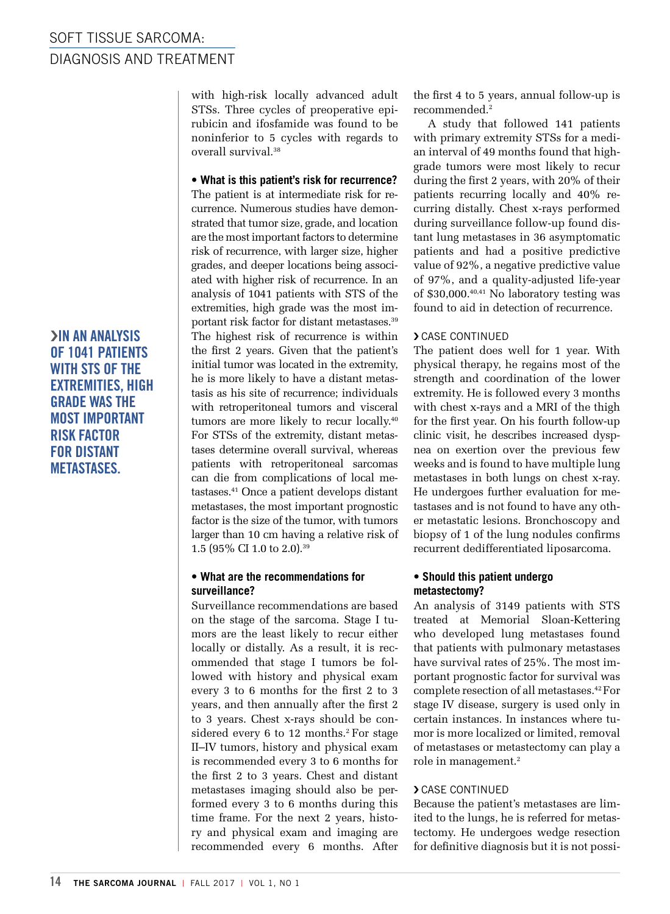›IN AN ANALYSIS OF 1041 PATIENTS WITH STS OF THE EXTREMITIES, HIGH GRADE WAS THE MOST IMPORTANT RISK FACTOR FOR DISTANT METASTASES.

with high-risk locally advanced adult STSs. Three cycles of preoperative epirubicin and ifosfamide was found to be noninferior to 5 cycles with regards to overall survival.38

#### **• What is this patient's risk for recurrence?**

The patient is at intermediate risk for recurrence. Numerous studies have demonstrated that tumor size, grade, and location are the most important factors to determine risk of recurrence, with larger size, higher grades, and deeper locations being associated with higher risk of recurrence. In an analysis of 1041 patients with STS of the extremities, high grade was the most important risk factor for distant metastases.39 The highest risk of recurrence is within the first 2 years. Given that the patient's initial tumor was located in the extremity, he is more likely to have a distant metastasis as his site of recurrence; individuals with retroperitoneal tumors and visceral tumors are more likely to recur locally.<sup>40</sup> For STSs of the extremity, distant metastases determine overall survival, whereas patients with retroperitoneal sarcomas can die from complications of local metastases.41 Once a patient develops distant metastases, the most important prognostic factor is the size of the tumor, with tumors larger than 10 cm having a relative risk of 1.5 (95% CI 1.0 to 2.0).39

#### **• What are the recommendations for surveillance?**

Surveillance recommendations are based on the stage of the sarcoma. Stage I tumors are the least likely to recur either locally or distally. As a result, it is recommended that stage I tumors be followed with history and physical exam every 3 to 6 months for the first 2 to 3 years, and then annually after the first 2 to 3 years. Chest x-rays should be considered every 6 to 12 months.<sup>2</sup> For stage II–IV tumors, history and physical exam is recommended every 3 to 6 months for the first 2 to 3 years. Chest and distant metastases imaging should also be performed every 3 to 6 months during this time frame. For the next 2 years, history and physical exam and imaging are recommended every 6 months. After the first 4 to 5 years, annual follow-up is recommended.2

A study that followed 141 patients with primary extremity STSs for a median interval of 49 months found that highgrade tumors were most likely to recur during the first 2 years, with 20% of their patients recurring locally and 40% recurring distally. Chest x-rays performed during surveillance follow-up found distant lung metastases in 36 asymptomatic patients and had a positive predictive value of 92%, a negative predictive value of 97%, and a quality-adjusted life-year of \$30,000.<sup>40,41</sup> No laboratory testing was found to aid in detection of recurrence.

#### › CASE CONTINUED

The patient does well for 1 year. With physical therapy, he regains most of the strength and coordination of the lower extremity. He is followed every 3 months with chest x-rays and a MRI of the thigh for the first year. On his fourth follow-up clinic visit, he describes increased dyspnea on exertion over the previous few weeks and is found to have multiple lung metastases in both lungs on chest x-ray. He undergoes further evaluation for metastases and is not found to have any other metastatic lesions. Bronchoscopy and biopsy of 1 of the lung nodules confirms recurrent dedifferentiated liposarcoma.

#### **• Should this patient undergo metastectomy?**

An analysis of 3149 patients with STS treated at Memorial Sloan-Kettering who developed lung metastases found that patients with pulmonary metastases have survival rates of 25%. The most important prognostic factor for survival was complete resection of all metastases.42 For stage IV disease, surgery is used only in certain instances. In instances where tumor is more localized or limited, removal of metastases or metastectomy can play a role in management.2

#### › CASE CONTINUED

Because the patient's metastases are limited to the lungs, he is referred for metastectomy. He undergoes wedge resection for definitive diagnosis but it is not possi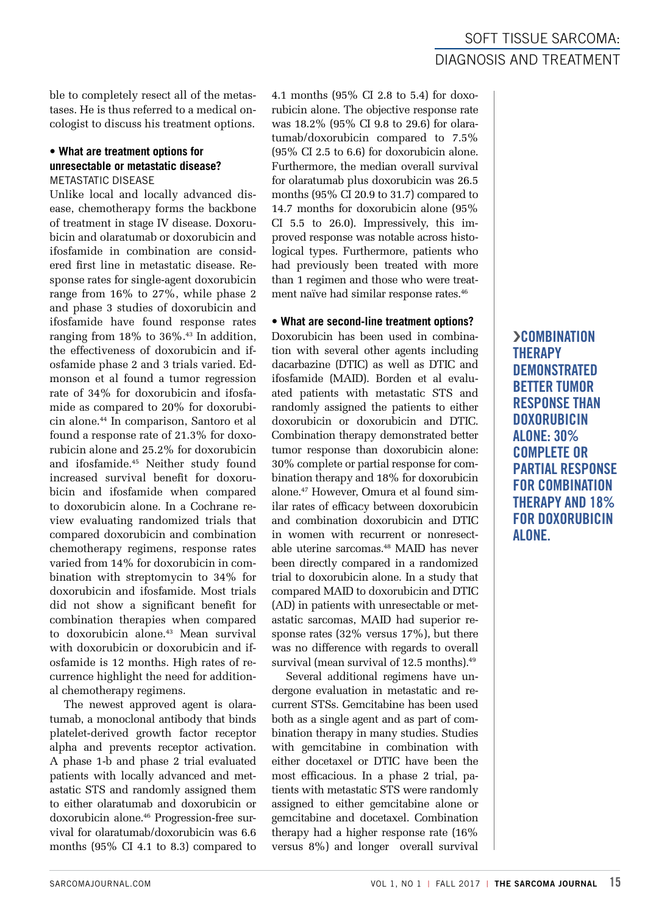ble to completely resect all of the metastases. He is thus referred to a medical oncologist to discuss his treatment options.

#### **• What are treatment options for unresectable or metastatic disease?** METASTATIC DISEASE

Unlike local and locally advanced disease, chemotherapy forms the backbone of treatment in stage IV disease. Doxorubicin and olaratumab or doxorubicin and ifosfamide in combination are considered first line in metastatic disease. Response rates for single-agent doxorubicin range from 16% to 27%, while phase 2 and phase 3 studies of doxorubicin and ifosfamide have found response rates ranging from  $18\%$  to  $36\%$ .<sup>43</sup> In addition, the effectiveness of doxorubicin and ifosfamide phase 2 and 3 trials varied. Edmonson et al found a tumor regression rate of 34% for doxorubicin and ifosfamide as compared to 20% for doxorubicin alone.44 In comparison, Santoro et al found a response rate of 21.3% for doxorubicin alone and 25.2% for doxorubicin and ifosfamide.45 Neither study found increased survival benefit for doxorubicin and ifosfamide when compared to doxorubicin alone. In a Cochrane review evaluating randomized trials that compared doxorubicin and combination chemotherapy regimens, response rates varied from 14% for doxorubicin in combination with streptomycin to 34% for doxorubicin and ifosfamide. Most trials did not show a significant benefit for combination therapies when compared to doxorubicin alone.43 Mean survival with doxorubicin or doxorubicin and ifosfamide is 12 months. High rates of recurrence highlight the need for additional chemotherapy regimens.

The newest approved agent is olaratumab, a monoclonal antibody that binds platelet-derived growth factor receptor alpha and prevents receptor activation. A phase 1-b and phase 2 trial evaluated patients with locally advanced and metastatic STS and randomly assigned them to either olaratumab and doxorubicin or doxorubicin alone.46 Progression-free survival for olaratumab/doxorubicin was 6.6 months (95% CI 4.1 to 8.3) compared to

4.1 months (95% CI 2.8 to 5.4) for doxorubicin alone. The objective response rate was 18.2% (95% CI 9.8 to 29.6) for olaratumab/doxorubicin compared to 7.5% (95% CI 2.5 to 6.6) for doxorubicin alone. Furthermore, the median overall survival for olaratumab plus doxorubicin was 26.5 months (95% CI 20.9 to 31.7) compared to 14.7 months for doxorubicin alone (95% CI 5.5 to 26.0). Impressively, this improved response was notable across histological types. Furthermore, patients who had previously been treated with more than 1 regimen and those who were treatment naïve had similar response rates.46

#### **• What are second-line treatment options?**

Doxorubicin has been used in combination with several other agents including dacarbazine (DTIC) as well as DTIC and ifosfamide (MAID). Borden et al evaluated patients with metastatic STS and randomly assigned the patients to either doxorubicin or doxorubicin and DTIC. Combination therapy demonstrated better tumor response than doxorubicin alone: 30% complete or partial response for combination therapy and 18% for doxorubicin alone.47 However, Omura et al found similar rates of efficacy between doxorubicin and combination doxorubicin and DTIC in women with recurrent or nonresectable uterine sarcomas.48 MAID has never been directly compared in a randomized trial to doxorubicin alone. In a study that compared MAID to doxorubicin and DTIC (AD) in patients with unresectable or metastatic sarcomas, MAID had superior response rates (32% versus 17%), but there was no difference with regards to overall survival (mean survival of 12.5 months).<sup>49</sup>

Several additional regimens have undergone evaluation in metastatic and recurrent STSs. Gemcitabine has been used both as a single agent and as part of combination therapy in many studies. Studies with gemcitabine in combination with either docetaxel or DTIC have been the most efficacious. In a phase 2 trial, patients with metastatic STS were randomly assigned to either gemcitabine alone or gemcitabine and docetaxel. Combination therapy had a higher response rate (16% versus 8%) and longer overall survival

### SOFT TISSUE SARCOMA: DIAGNOSIS AND TREATMENT

**>COMBINATION THERAPY DEMONSTRATED** BETTER TUMOR RESPONSE THAN **DOXORUBICIN** ALONE: 30% COMPLETE OR PARTIAL RESPONSE FOR COMBINATION THERAPY AND 18% FOR DOXORUBICIN ALONE.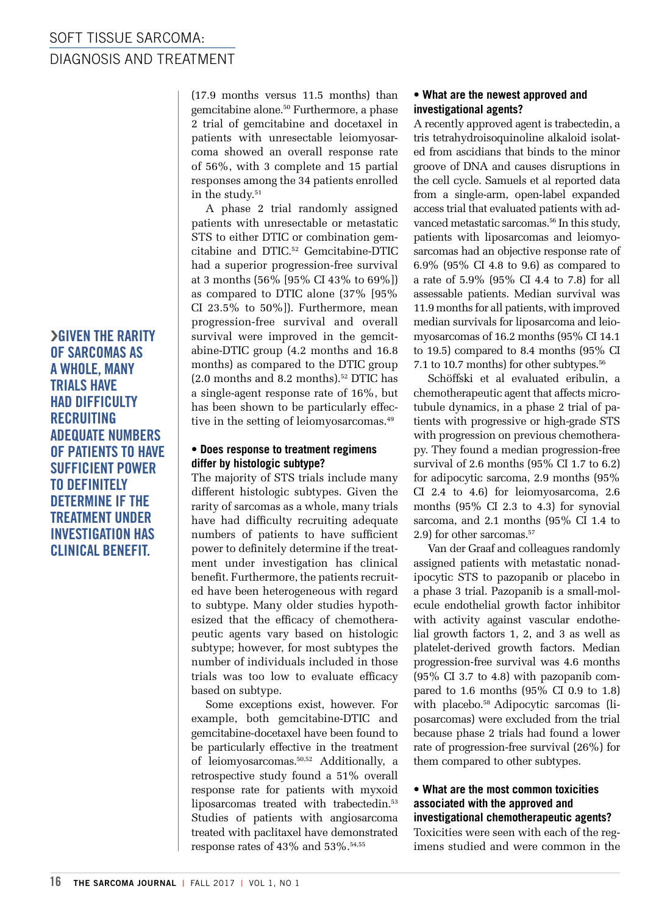›GIVEN THE RARITY OF SARCOMAS AS A WHOLE, MANY TRIALS HAVE HAD DIFFICULTY RECRUITING ADEQUATE NUMBERS OF PATIENTS TO HAVE SUFFICIENT POWER TO DEFINITELY DETERMINE IF THE TREATMENT UNDER INVESTIGATION HAS CLINICAL BENEFIT.

(17.9 months versus 11.5 months) than gemcitabine alone.50 Furthermore, a phase 2 trial of gemcitabine and docetaxel in patients with unresectable leiomyosarcoma showed an overall response rate of 56%, with 3 complete and 15 partial responses among the 34 patients enrolled in the study.<sup>51</sup>

A phase 2 trial randomly assigned patients with unresectable or metastatic STS to either DTIC or combination gemcitabine and DTIC.52 Gemcitabine-DTIC had a superior progression-free survival at 3 months (56% [95% CI 43% to 69%]) as compared to DTIC alone (37% [95% CI 23.5% to 50%]). Furthermore, mean progression-free survival and overall survival were improved in the gemcitabine-DTIC group (4.2 months and 16.8 months) as compared to the DTIC group (2.0 months and 8.2 months).52 DTIC has a single-agent response rate of 16%, but has been shown to be particularly effective in the setting of leiomyosarcomas.<sup>49</sup>

#### **• Does response to treatment regimens differ by histologic subtype?**

The majority of STS trials include many different histologic subtypes. Given the rarity of sarcomas as a whole, many trials have had difficulty recruiting adequate numbers of patients to have sufficient power to definitely determine if the treatment under investigation has clinical benefit. Furthermore, the patients recruited have been heterogeneous with regard to subtype. Many older studies hypothesized that the efficacy of chemotherapeutic agents vary based on histologic subtype; however, for most subtypes the number of individuals included in those trials was too low to evaluate efficacy based on subtype.

Some exceptions exist, however. For example, both gemcitabine-DTIC and gemcitabine-docetaxel have been found to be particularly effective in the treatment of leiomyosarcomas.50,52 Additionally, a retrospective study found a 51% overall response rate for patients with myxoid liposarcomas treated with trabectedin.<sup>53</sup> Studies of patients with angiosarcoma treated with paclitaxel have demonstrated response rates of 43% and 53%.54,55

#### **• What are the newest approved and investigational agents?**

A recently approved agent is trabectedin, a tris tetrahydroisoquinoline alkaloid isolated from ascidians that binds to the minor groove of DNA and causes disruptions in the cell cycle. Samuels et al reported data from a single-arm, open-label expanded access trial that evaluated patients with advanced metastatic sarcomas.<sup>56</sup> In this study, patients with liposarcomas and leiomyosarcomas had an objective response rate of 6.9% (95% CI 4.8 to 9.6) as compared to a rate of 5.9% (95% CI 4.4 to 7.8) for all assessable patients. Median survival was 11.9 months for all patients, with improved median survivals for liposarcoma and leiomyosarcomas of 16.2 months (95% CI 14.1 to 19.5) compared to 8.4 months (95% CI 7.1 to 10.7 months) for other subtypes.<sup>56</sup>

Schöffski et al evaluated eribulin, a chemotherapeutic agent that affects microtubule dynamics, in a phase 2 trial of patients with progressive or high-grade STS with progression on previous chemotherapy. They found a median progression-free survival of 2.6 months (95% CI 1.7 to 6.2) for adipocytic sarcoma, 2.9 months (95% CI 2.4 to 4.6) for leiomyosarcoma, 2.6 months (95% CI 2.3 to 4.3) for synovial sarcoma, and 2.1 months (95% CI 1.4 to 2.9) for other sarcomas.<sup>57</sup>

Van der Graaf and colleagues randomly assigned patients with metastatic nonadipocytic STS to pazopanib or placebo in a phase 3 trial. Pazopanib is a small-molecule endothelial growth factor inhibitor with activity against vascular endothelial growth factors 1, 2, and 3 as well as platelet-derived growth factors. Median progression-free survival was 4.6 months (95% CI 3.7 to 4.8) with pazopanib compared to 1.6 months (95% CI 0.9 to 1.8) with placebo.<sup>58</sup> Adipocytic sarcomas (liposarcomas) were excluded from the trial because phase 2 trials had found a lower rate of progression-free survival (26%) for them compared to other subtypes.

#### **• What are the most common toxicities associated with the approved and investigational chemotherapeutic agents?**

Toxicities were seen with each of the regimens studied and were common in the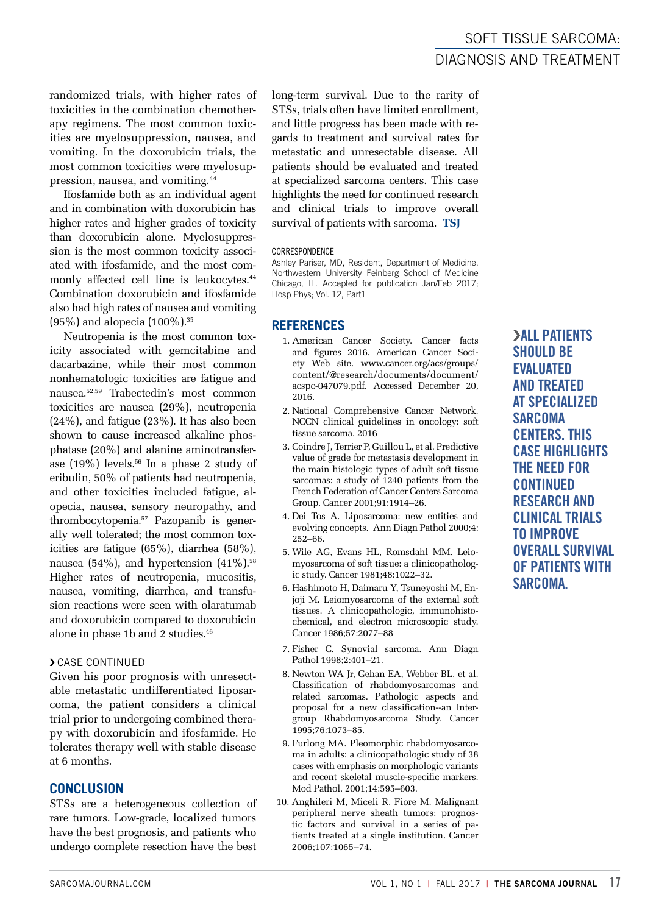randomized trials, with higher rates of toxicities in the combination chemotherapy regimens. The most common toxicities are myelosuppression, nausea, and vomiting. In the doxorubicin trials, the most common toxicities were myelosuppression, nausea, and vomiting.44

Ifosfamide both as an individual agent and in combination with doxorubicin has higher rates and higher grades of toxicity than doxorubicin alone. Myelosuppression is the most common toxicity associated with ifosfamide, and the most commonly affected cell line is leukocytes.<sup>44</sup> Combination doxorubicin and ifosfamide also had high rates of nausea and vomiting (95%) and alopecia (100%).35

Neutropenia is the most common toxicity associated with gemcitabine and dacarbazine, while their most common nonhematologic toxicities are fatigue and nausea.52,59 Trabectedin's most common toxicities are nausea (29%), neutropenia (24%), and fatigue (23%). It has also been shown to cause increased alkaline phosphatase (20%) and alanine aminotransferase (19%) levels.56 In a phase 2 study of eribulin, 50% of patients had neutropenia, and other toxicities included fatigue, alopecia, nausea, sensory neuropathy, and thrombocytopenia.57 Pazopanib is generally well tolerated; the most common toxicities are fatigue (65%), diarrhea (58%), nausea (54%), and hypertension  $(41\%)$ .<sup>58</sup> Higher rates of neutropenia, mucositis, nausea, vomiting, diarrhea, and transfusion reactions were seen with olaratumab and doxorubicin compared to doxorubicin alone in phase 1b and 2 studies.46

#### › CASE CONTINUED

Given his poor prognosis with unresectable metastatic undifferentiated liposarcoma, the patient considers a clinical trial prior to undergoing combined therapy with doxorubicin and ifosfamide. He tolerates therapy well with stable disease at 6 months.

#### **CONCLUSION**

STSs are a heterogeneous collection of rare tumors. Low-grade, localized tumors have the best prognosis, and patients who undergo complete resection have the best

long-term survival. Due to the rarity of STSs, trials often have limited enrollment, and little progress has been made with regards to treatment and survival rates for metastatic and unresectable disease. All patients should be evaluated and treated at specialized sarcoma centers. This case highlights the need for continued research and clinical trials to improve overall survival of patients with sarcoma. **TSJ**

#### **CORRESPONDENCE**

Ashley Pariser, MD, Resident, Department of Medicine, Northwestern University Feinberg School of Medicine Chicago, IL. Accepted for publication Jan/Feb 2017; Hosp Phys; Vol. 12, Part1

#### **REFERENCES**

- 1. American Cancer Society. Cancer facts and figures 2016. American Cancer Society Web site. www.cancer.org/acs/groups/ content/@research/documents/document/ acspc-047079.pdf. Accessed December 20, 2016.
- 2. National Comprehensive Cancer Network. NCCN clinical guidelines in oncology: soft tissue sarcoma. 2016
- 3. Coindre J, Terrier P, Guillou L, et al. Predictive value of grade for metastasis development in the main histologic types of adult soft tissue sarcomas: a study of 1240 patients from the French Federation of Cancer Centers Sarcoma Group. Cancer 2001;91:1914–26.
- 4. Dei Tos A. Liposarcoma: new entities and evolving concepts. Ann Diagn Pathol 2000;4: 252–66.
- 5. Wile AG, Evans HL, Romsdahl MM. Leiomyosarcoma of soft tissue: a clinicopathologic study. Cancer 1981;48:1022–32.
- 6. Hashimoto H, Daimaru Y, Tsuneyoshi M, Enjoji M. Leiomyosarcoma of the external soft tissues. A clinicopathologic, immunohistochemical, and electron microscopic study. Cancer 1986;57:2077–88
- 7. Fisher C. Synovial sarcoma. Ann Diagn Pathol 1998;2:401–21.
- 8. Newton WA Jr, Gehan EA, Webber BL, et al. Classification of rhabdomyosarcomas and related sarcomas. Pathologic aspects and proposal for a new classification--an Intergroup Rhabdomyosarcoma Study. Cancer 1995;76:1073–85.
- 9. Furlong MA. Pleomorphic rhabdomyosarcoma in adults: a clinicopathologic study of 38 cases with emphasis on morphologic variants and recent skeletal muscle-specific markers. Mod Pathol. 2001;14:595–603.
- 10. Anghileri M, Miceli R, Fiore M. Malignant peripheral nerve sheath tumors: prognostic factors and survival in a series of patients treated at a single institution. Cancer 2006;107:1065–74.

### SOFT TISSUE SARCOMA: DIAGNOSIS AND TREATMENT

**SALL PATIENTS** SHOULD BE EVALUATED AND TREATED AT SPECIALIZED SARCOMA CENTERS. THIS CASE HIGHLIGHTS THE NEED FOR CONTINUED RESEARCH AND CLINICAL TRIALS TO IMPROVE OVERALL SURVIVAL OF PATIENTS WITH SARCOMA.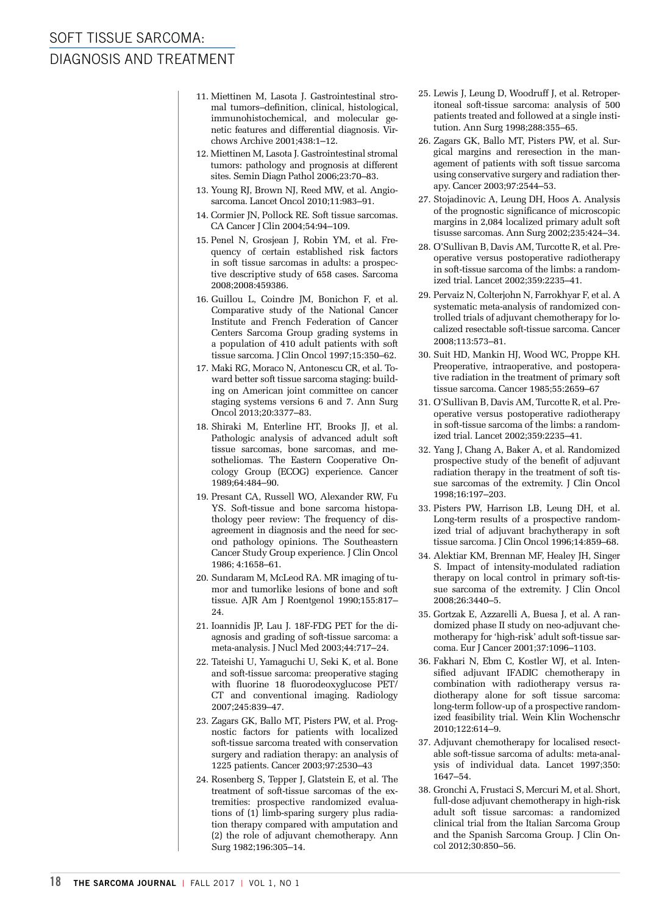### SOFT TISSUE SARCOMA: DIAGNOSIS AND TREATMENT

- 11. Miettinen M, Lasota J. Gastrointestinal stromal tumors–definition, clinical, histological, immunohistochemical, and molecular genetic features and differential diagnosis. Virchows Archive 2001;438:1–12.
- 12. Miettinen M, Lasota J. Gastrointestinal stromal tumors: pathology and prognosis at different sites. Semin Diagn Pathol 2006;23:70–83.
- 13. Young RJ, Brown NJ, Reed MW, et al. Angiosarcoma. Lancet Oncol 2010;11:983–91.
- 14. Cormier JN, Pollock RE. Soft tissue sarcomas. CA Cancer J Clin 2004;54:94–109.
- 15. Penel N, Grosjean J, Robin YM, et al. Frequency of certain established risk factors in soft tissue sarcomas in adults: a prospective descriptive study of 658 cases. Sarcoma 2008;2008:459386.
- 16. Guillou L, Coindre JM, Bonichon F, et al. Comparative study of the National Cancer Institute and French Federation of Cancer Centers Sarcoma Group grading systems in a population of 410 adult patients with soft tissue sarcoma. J Clin Oncol 1997;15:350–62.
- 17. Maki RG, Moraco N, Antonescu CR, et al. Toward better soft tissue sarcoma staging: building on American joint committee on cancer staging systems versions 6 and 7. Ann Surg Oncol 2013;20:3377–83.
- 18. Shiraki M, Enterline HT, Brooks JJ, et al. Pathologic analysis of advanced adult soft tissue sarcomas, bone sarcomas, and mesotheliomas. The Eastern Cooperative Oncology Group (ECOG) experience. Cancer 1989;64:484–90.
- 19. Presant CA, Russell WO, Alexander RW, Fu YS. Soft-tissue and bone sarcoma histopathology peer review: The frequency of disagreement in diagnosis and the need for second pathology opinions. The Southeastern Cancer Study Group experience. J Clin Oncol 1986; 4:1658–61.
- 20. Sundaram M, McLeod RA. MR imaging of tumor and tumorlike lesions of bone and soft tissue. AJR Am J Roentgenol 1990;155:817– 24.
- 21. Ioannidis JP, Lau J. 18F-FDG PET for the diagnosis and grading of soft-tissue sarcoma: a meta-analysis. J Nucl Med 2003;44:717–24.
- 22. Tateishi U, Yamaguchi U, Seki K, et al. Bone and soft-tissue sarcoma: preoperative staging with fluorine 18 fluorodeoxyglucose PET/ CT and conventional imaging. Radiology 2007;245:839–47.
- 23. Zagars GK, Ballo MT, Pisters PW, et al. Prognostic factors for patients with localized soft-tissue sarcoma treated with conservation surgery and radiation therapy: an analysis of 1225 patients. Cancer 2003;97:2530–43
- 24. Rosenberg S, Tepper J, Glatstein E, et al. The treatment of soft-tissue sarcomas of the extremities: prospective randomized evaluations of (1) limb-sparing surgery plus radiation therapy compared with amputation and (2) the role of adjuvant chemotherapy. Ann Surg 1982;196:305–14.
- 25. Lewis J, Leung D, Woodruff J, et al. Retroperitoneal soft-tissue sarcoma: analysis of 500 patients treated and followed at a single institution. Ann Surg 1998;288:355–65.
- 26. Zagars GK, Ballo MT, Pisters PW, et al. Surgical margins and reresection in the management of patients with soft tissue sarcoma using conservative surgery and radiation therapy. Cancer 2003;97:2544–53.
- 27. Stojadinovic A, Leung DH, Hoos A. Analysis of the prognostic significance of microscopic margins in 2,084 localized primary adult soft tisusse sarcomas. Ann Surg 2002;235:424–34.
- 28. O'Sullivan B, Davis AM, Turcotte R, et al. Preoperative versus postoperative radiotherapy in soft-tissue sarcoma of the limbs: a randomized trial. Lancet 2002;359:2235–41.
- 29. Pervaiz N, Colterjohn N, Farrokhyar F, et al. A systematic meta-analysis of randomized controlled trials of adjuvant chemotherapy for localized resectable soft-tissue sarcoma. Cancer 2008;113:573–81.
- 30. Suit HD, Mankin HJ, Wood WC, Proppe KH. Preoperative, intraoperative, and postoperative radiation in the treatment of primary soft tissue sarcoma. Cancer 1985;55:2659–67
- 31. O'Sullivan B, Davis AM, Turcotte R, et al. Preoperative versus postoperative radiotherapy in soft-tissue sarcoma of the limbs: a randomized trial. Lancet 2002;359:2235–41.
- 32. Yang J, Chang A, Baker A, et al. Randomized prospective study of the benefit of adjuvant radiation therapy in the treatment of soft tissue sarcomas of the extremity. J Clin Oncol 1998;16:197–203.
- 33. Pisters PW, Harrison LB, Leung DH, et al. Long-term results of a prospective randomized trial of adjuvant brachytherapy in soft tissue sarcoma. J Clin Oncol 1996;14:859–68.
- 34. Alektiar KM, Brennan MF, Healey JH, Singer S. Impact of intensity-modulated radiation therapy on local control in primary soft-tissue sarcoma of the extremity. J Clin Oncol 2008;26:3440–5.
- 35. Gortzak E, Azzarelli A, Buesa J, et al. A randomized phase II study on neo-adjuvant chemotherapy for 'high-risk' adult soft-tissue sarcoma. Eur J Cancer 2001;37:1096–1103.
- 36. Fakhari N, Ebm C, Kostler WJ, et al. Intensified adjuvant IFADIC chemotherapy in combination with radiotherapy versus radiotherapy alone for soft tissue sarcoma: long-term follow-up of a prospective randomized feasibility trial. Wein Klin Wochenschr 2010;122:614–9.
- 37. Adjuvant chemotherapy for localised resectable soft-tissue sarcoma of adults: meta-analysis of individual data. Lancet 1997;350: 1647–54.
- 38. Gronchi A, Frustaci S, Mercuri M, et al. Short, full-dose adjuvant chemotherapy in high-risk adult soft tissue sarcomas: a randomized clinical trial from the Italian Sarcoma Group and the Spanish Sarcoma Group. J Clin Oncol 2012;30:850–56.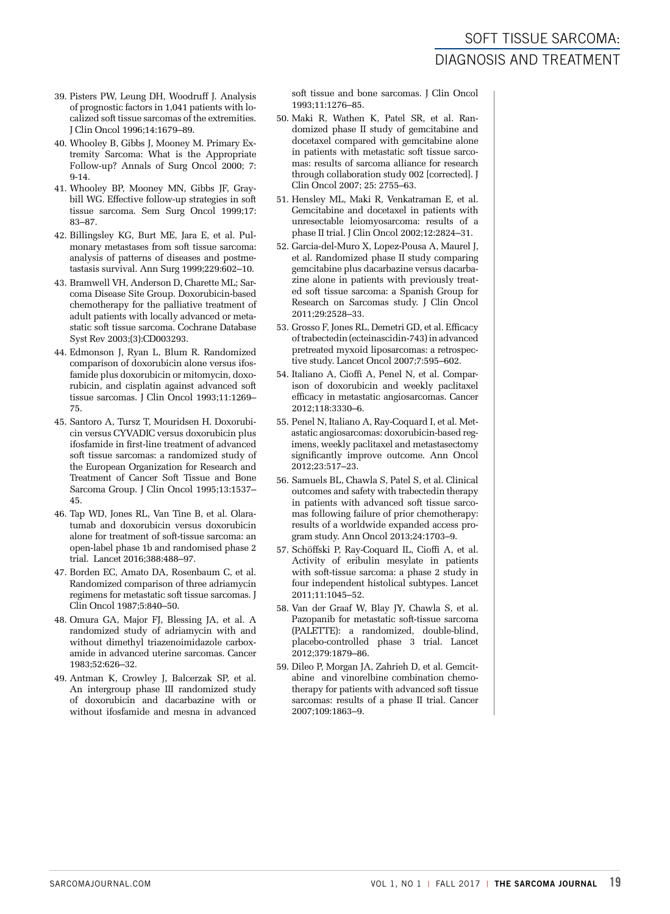- 39. Pisters PW, Leung DH, Woodruff J. Analysis of prognostic factors in 1,041 patients with localized soft tissue sarcomas of the extremities. J Clin Oncol 1996;14:1679–89.
- 40. Whooley B, Gibbs J, Mooney M. Primary Extremity Sarcoma: What is the Appropriate Follow-up? Annals of Surg Oncol 2000; 7: 9-14.
- 41. Whooley BP, Mooney MN, Gibbs JF, Graybill WG. Effective follow-up strategies in soft tissue sarcoma. Sem Surg Oncol 1999;17: 83–87.
- 42. Billingsley KG, Burt ME, Jara E, et al. Pulmonary metastases from soft tissue sarcoma: analysis of patterns of diseases and postmetastasis survival. Ann Surg 1999;229:602–10.
- 43. Bramwell VH, Anderson D, Charette ML; Sarcoma Disease Site Group. Doxorubicin-based chemotherapy for the palliative treatment of adult patients with locally advanced or metastatic soft tissue sarcoma. Cochrane Database Syst Rev 2003;(3):CD003293.
- 44. Edmonson J, Ryan L, Blum R. Randomized comparison of doxorubicin alone versus ifosfamide plus doxorubicin or mitomycin, doxorubicin, and cisplatin against advanced soft tissue sarcomas. J Clin Oncol 1993;11:1269– 75.
- 45. Santoro A, Tursz T, Mouridsen H. Doxorubicin versus CYVADIC versus doxorubicin plus ifosfamide in first-line treatment of advanced soft tissue sarcomas: a randomized study of the European Organization for Research and Treatment of Cancer Soft Tissue and Bone Sarcoma Group. J Clin Oncol 1995;13:1537– 45.
- 46. Tap WD, Jones RL, Van Tine B, et al. Olaratumab and doxorubicin versus doxorubicin alone for treatment of soft-tissue sarcoma: an open-label phase 1b and randomised phase 2 trial. Lancet 2016;388:488–97.
- 47. Borden EC, Amato DA, Rosenbaum C, et al. Randomized comparison of three adriamycin regimens for metastatic soft tissue sarcomas. J Clin Oncol 1987;5:840–50.
- 48. Omura GA, Major FJ, Blessing JA, et al. A randomized study of adriamycin with and without dimethyl triazenoimidazole carboxamide in advanced uterine sarcomas. Cancer 1983;52:626–32.
- 49. Antman K, Crowley J, Balcerzak SP, et al. An intergroup phase III randomized study of doxorubicin and dacarbazine with or without ifosfamide and mesna in advanced

soft tissue and bone sarcomas. J Clin Oncol 1993;11:1276–85.

- 50. Maki R, Wathen K, Patel SR, et al. Randomized phase II study of gemcitabine and docetaxel compared with gemcitabine alone in patients with metastatic soft tissue sarcomas: results of sarcoma alliance for research through collaboration study 002 [corrected]. J Clin Oncol 2007; 25: 2755–63.
- 51. Hensley ML, Maki R, Venkatraman E, et al. Gemcitabine and docetaxel in patients with unresectable leiomyosarcoma: results of a phase II trial. J Clin Oncol 2002;12:2824–31.
- 52. Garcia-del-Muro X, Lopez-Pousa A, Maurel J, et al. Randomized phase II study comparing gemcitabine plus dacarbazine versus dacarbazine alone in patients with previously treated soft tissue sarcoma: a Spanish Group for Research on Sarcomas study. J Clin Oncol 2011;29:2528–33.
- 53. Grosso F, Jones RL, Demetri GD, et al. Efficacy of trabectedin (ecteinascidin-743) in advanced pretreated myxoid liposarcomas: a retrospective study. Lancet Oncol 2007;7:595–602.
- 54. Italiano A, Cioffi A, Penel N, et al. Comparison of doxorubicin and weekly paclitaxel efficacy in metastatic angiosarcomas. Cancer 2012;118:3330–6.
- 55. Penel N, Italiano A, Ray-Coquard I, et al. Metastatic angiosarcomas: doxorubicin-based regimens, weekly paclitaxel and metastasectomy significantly improve outcome. Ann Oncol 2012;23:517–23.
- 56. Samuels BL, Chawla S, Patel S, et al. Clinical outcomes and safety with trabectedin therapy in patients with advanced soft tissue sarcomas following failure of prior chemotherapy: results of a worldwide expanded access program study. Ann Oncol 2013;24:1703–9.
- 57. Schöffski P, Ray-Coquard IL, Cioffi A, et al. Activity of eribulin mesylate in patients with soft-tissue sarcoma: a phase 2 study in four independent histolical subtypes. Lancet 2011;11:1045–52.
- 58. Van der Graaf W, Blay JY, Chawla S, et al. Pazopanib for metastatic soft-tissue sarcoma (PALETTE): a randomized, double-blind, placebo-controlled phase 3 trial. Lancet 2012;379:1879–86.
- 59. Dileo P, Morgan JA, Zahrieh D, et al. Gemcitabine and vinorelbine combination chemotherapy for patients with advanced soft tissue sarcomas: results of a phase II trial. Cancer 2007;109:1863–9.

## SOFT TISSUE SARCOMA: DIAGNOSIS AND TREATMENT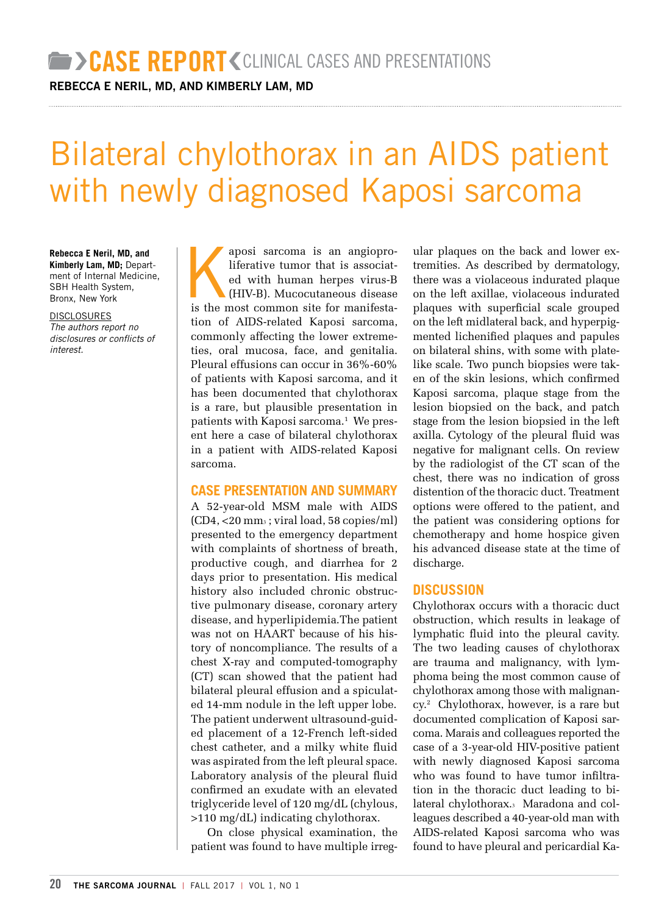REBECCA E NERIL, MD, AND KIMBERLY LAM, MD

# Bilateral chylothorax in an AIDS patient with newly diagnosed Kaposi sarcoma

**Rebecca E Neril, MD, and Kimberly Lam, MD;** Department of Internal Medicine, SBH Health System, Bronx, New York

**DISCLOSURES** *The authors report no disclosures or conflicts of interest.*

aposi sarcoma is an angiopro-<br>liferative tumor that is associated with human herpes virus-B<br>(HIV-B). Mucocutaneous disease<br>is the most common site for manifestaliferative tumor that is associated with human herpes virus-B (HIV-B). Mucocutaneous disease is the most common site for manifestation of AIDS-related Kaposi sarcoma, commonly affecting the lower extremeties, oral mucosa, face, and genitalia. Pleural effusions can occur in 36%-60% of patients with Kaposi sarcoma, and it has been documented that chylothorax is a rare, but plausible presentation in patients with Kaposi sarcoma.<sup>1</sup> We present here a case of bilateral chylothorax in a patient with AIDS-related Kaposi sarcoma.

#### **CASE PRESENTATION AND SUMMARY**

A 52-year-old MSM male with AIDS (CD4, <20 mm3 ; viral load, 58 copies/ml) presented to the emergency department with complaints of shortness of breath, productive cough, and diarrhea for 2 days prior to presentation. His medical history also included chronic obstructive pulmonary disease, coronary artery disease, and hyperlipidemia.The patient was not on HAART because of his history of noncompliance. The results of a chest X-ray and computed-tomography (CT) scan showed that the patient had bilateral pleural effusion and a spiculated 14-mm nodule in the left upper lobe. The patient underwent ultrasound-guided placement of a 12-French left-sided chest catheter, and a milky white fluid was aspirated from the left pleural space. Laboratory analysis of the pleural fluid confirmed an exudate with an elevated triglyceride level of 120 mg/dL (chylous, >110 mg/dL) indicating chylothorax.

On close physical examination, the patient was found to have multiple irregular plaques on the back and lower extremities. As described by dermatology, there was a violaceous indurated plaque on the left axillae, violaceous indurated plaques with superficial scale grouped on the left midlateral back, and hyperpigmented lichenified plaques and papules on bilateral shins, with some with platelike scale. Two punch biopsies were taken of the skin lesions, which confirmed Kaposi sarcoma, plaque stage from the lesion biopsied on the back, and patch stage from the lesion biopsied in the left axilla. Cytology of the pleural fluid was negative for malignant cells. On review by the radiologist of the CT scan of the chest, there was no indication of gross distention of the thoracic duct. Treatment options were offered to the patient, and the patient was considering options for chemotherapy and home hospice given his advanced disease state at the time of discharge.

#### **DISCUSSION**

Chylothorax occurs with a thoracic duct obstruction, which results in leakage of lymphatic fluid into the pleural cavity. The two leading causes of chylothorax are trauma and malignancy, with lymphoma being the most common cause of chylothorax among those with malignancy.2 Chylothorax, however, is a rare but documented complication of Kaposi sarcoma. Marais and colleagues reported the case of a 3-year-old HIV-positive patient with newly diagnosed Kaposi sarcoma who was found to have tumor infiltration in the thoracic duct leading to bilateral chylothorax.3 Maradona and colleagues described a 40-year-old man with AIDS-related Kaposi sarcoma who was found to have pleural and pericardial Ka-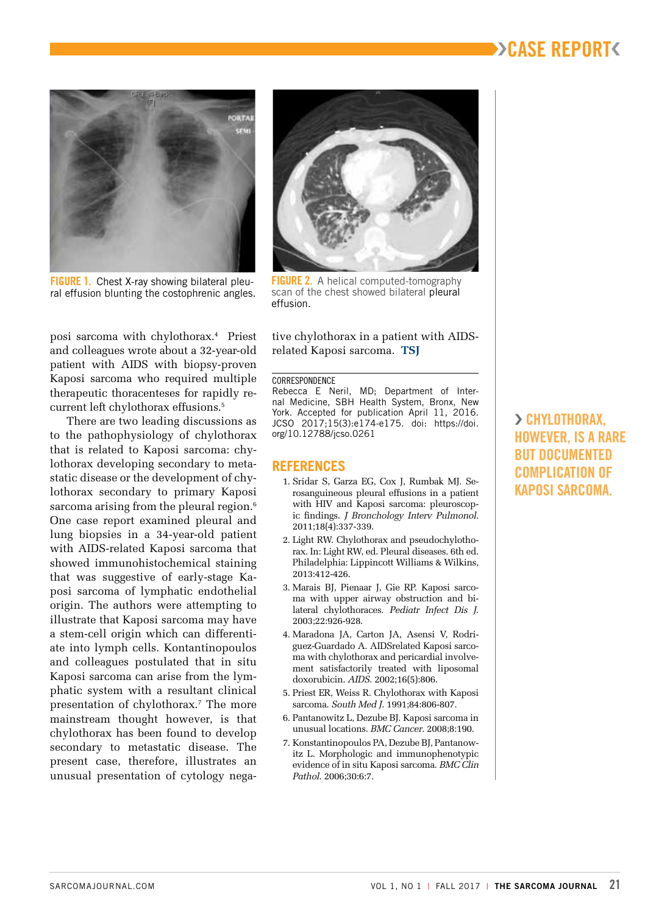# ››CASE REPORT‹



FIGURE 1. Chest X-ray showing bilateral pleural effusion blunting the costophrenic angles.



FIGURE 2. A helical computed-tomography scan of the chest showed bilateral pleural effusion.

posi sarcoma with chylothorax.4 Priest and colleagues wrote about a 32-year-old patient with AIDS with biopsy-proven Kaposi sarcoma who required multiple therapeutic thoracenteses for rapidly recurrent left chylothorax effusions.5

There are two leading discussions as to the pathophysiology of chylothorax that is related to Kaposi sarcoma: chylothorax developing secondary to metastatic disease or the development of chylothorax secondary to primary Kaposi sarcoma arising from the pleural region.<sup>6</sup> One case report examined pleural and lung biopsies in a 34-year-old patient with AIDS-related Kaposi sarcoma that showed immunohistochemical staining that was suggestive of early-stage Kaposi sarcoma of lymphatic endothelial origin. The authors were attempting to illustrate that Kaposi sarcoma may have a stem-cell origin which can differentiate into lymph cells. Kontantinopoulos and colleagues postulated that in situ Kaposi sarcoma can arise from the lymphatic system with a resultant clinical presentation of chylothorax.7 The more mainstream thought however, is that chylothorax has been found to develop secondary to metastatic disease. The present case, therefore, illustrates an unusual presentation of cytology negative chylothorax in a patient with AIDSrelated Kaposi sarcoma. **TSJ**

#### CORRESPONDENCE

Rebecca E Neril, MD; Department of Internal Medicine, SBH Health System, Bronx, New York. Accepted for publication April 11, 2016. JCSO 2017;15(3):e174-e175. doi: https://doi. org/10.12788/jcso.0261

#### **REFERENCES**

- 1. Sridar S, Garza EG, Cox J, Rumbak MJ. Serosanguineous pleural effusions in a patient with HIV and Kaposi sarcoma: pleuroscopic findings. *J Bronchology Interv Pulmonol*. 2011;18(4):337-339.
- 2. Light RW. Chylothorax and pseudochylothorax. In: Light RW, ed. Pleural diseases. 6th ed. Philadelphia: Lippincott Williams & Wilkins, 2013:412-426.
- 3. Marais BJ, Pienaar J, Gie RP. Kaposi sarcoma with upper airway obstruction and bilateral chylothoraces. *Pediatr Infect Dis J*. 2003;22:926-928.
- 4. Maradona JA, Carton JA, Asensi V, Rodriguez-Guardado A. AIDSrelated Kaposi sarcoma with chylothorax and pericardial involvement satisfactorily treated with liposomal doxorubicin. *AIDS*. 2002;16(5):806.
- 5. Priest ER, Weiss R. Chylothorax with Kaposi sarcoma. *South Med J*. 1991;84:806-807.
- 6. Pantanowitz L, Dezube BJ. Kaposi sarcoma in unusual locations. *BMC Cancer*. 2008;8:190.
- 7. Konstantinopoulos PA, Dezube BJ, Pantanowitz L. Morphologic and immunophenotypic evidence of in situ Kaposi sarcoma. *BMC Clin Pathol*. 2006;30:6:7.

› CHYLOTHORAX, HOWEVER, IS A RARE BUT DOCUMENTED COMPLICATION OF KAPOSI SARCOMA.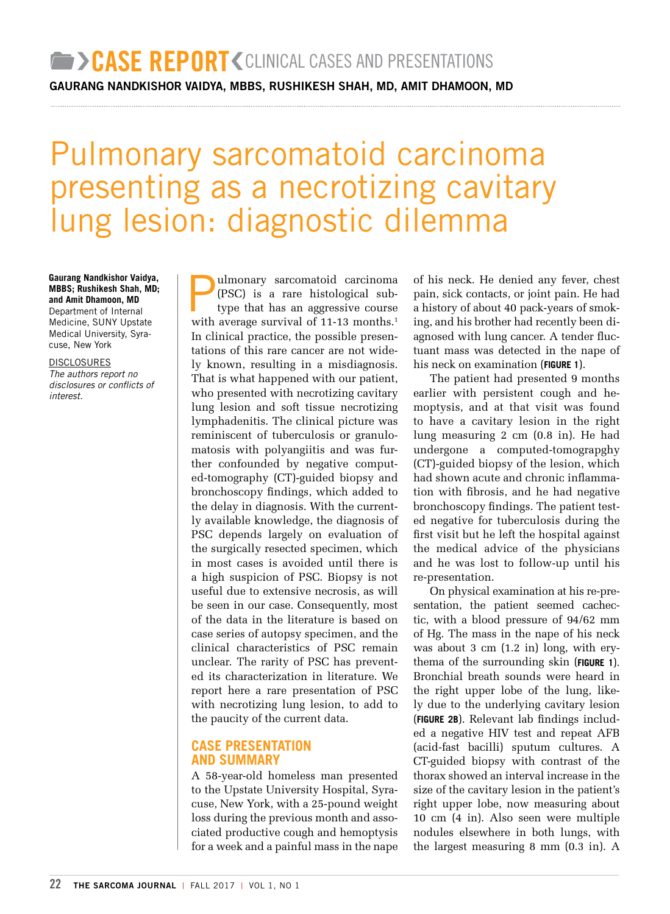GAURANG NANDKISHOR VAIDYA, MBBS, RUSHIKESH SHAH, MD, AMIT DHAMOON, MD

# Pulmonary sarcomatoid carcinoma presenting as a necrotizing cavitary lung lesion: diagnostic dilemma

**Gaurang Nandkishor Vaidya, MBBS; Rushikesh Shah, MD; and Amit Dhamoon, MD** Department of Internal Medicine, SUNY Upstate Medical University, Syracuse, New York

DISCLOSURES *The authors report no disclosures or conflicts of interest.* 

ulmonary sarcomatoid carcinoma (PSC) is a rare histological subtype that has an aggressive course with average survival of 11-13 months.<sup>1</sup> In clinical practice, the possible presentations of this rare cancer are not widely known, resulting in a misdiagnosis. That is what happened with our patient, who presented with necrotizing cavitary lung lesion and soft tissue necrotizing lymphadenitis. The clinical picture was reminiscent of tuberculosis or granulomatosis with polyangiitis and was further confounded by negative computed-tomography (CT)-guided biopsy and bronchoscopy findings, which added to the delay in diagnosis. With the currently available knowledge, the diagnosis of PSC depends largely on evaluation of the surgically resected specimen, which in most cases is avoided until there is a high suspicion of PSC. Biopsy is not useful due to extensive necrosis, as will be seen in our case. Consequently, most of the data in the literature is based on case series of autopsy specimen, and the clinical characteristics of PSC remain unclear. The rarity of PSC has prevented its characterization in literature. We report here a rare presentation of PSC with necrotizing lung lesion, to add to the paucity of the current data.

#### **CASE PRESENTATION AND SUMMARY**

A 58-year-old homeless man presented to the Upstate University Hospital, Syracuse, New York, with a 25-pound weight loss during the previous month and associated productive cough and hemoptysis for a week and a painful mass in the nape of his neck. He denied any fever, chest pain, sick contacts, or joint pain. He had a history of about 40 pack-years of smoking, and his brother had recently been diagnosed with lung cancer. A tender fluctuant mass was detected in the nape of his neck on examination (**FIGURE 1**).

The patient had presented 9 months earlier with persistent cough and hemoptysis, and at that visit was found to have a cavitary lesion in the right lung measuring 2 cm (0.8 in). He had undergone a computed-tomograpghy (CT)-guided biopsy of the lesion, which had shown acute and chronic inflammation with fibrosis, and he had negative bronchoscopy findings. The patient tested negative for tuberculosis during the first visit but he left the hospital against the medical advice of the physicians and he was lost to follow-up until his re-presentation.

On physical examination at his re-presentation, the patient seemed cachectic, with a blood pressure of 94/62 mm of Hg. The mass in the nape of his neck was about 3 cm (1.2 in) long, with erythema of the surrounding skin (**FIGURE 1**). Bronchial breath sounds were heard in the right upper lobe of the lung, likely due to the underlying cavitary lesion (**FIGURE 2B**). Relevant lab findings included a negative HIV test and repeat AFB (acid-fast bacilli) sputum cultures. A CT-guided biopsy with contrast of the thorax showed an interval increase in the size of the cavitary lesion in the patient's right upper lobe, now measuring about 10 cm (4 in). Also seen were multiple nodules elsewhere in both lungs, with the largest measuring 8 mm (0.3 in). A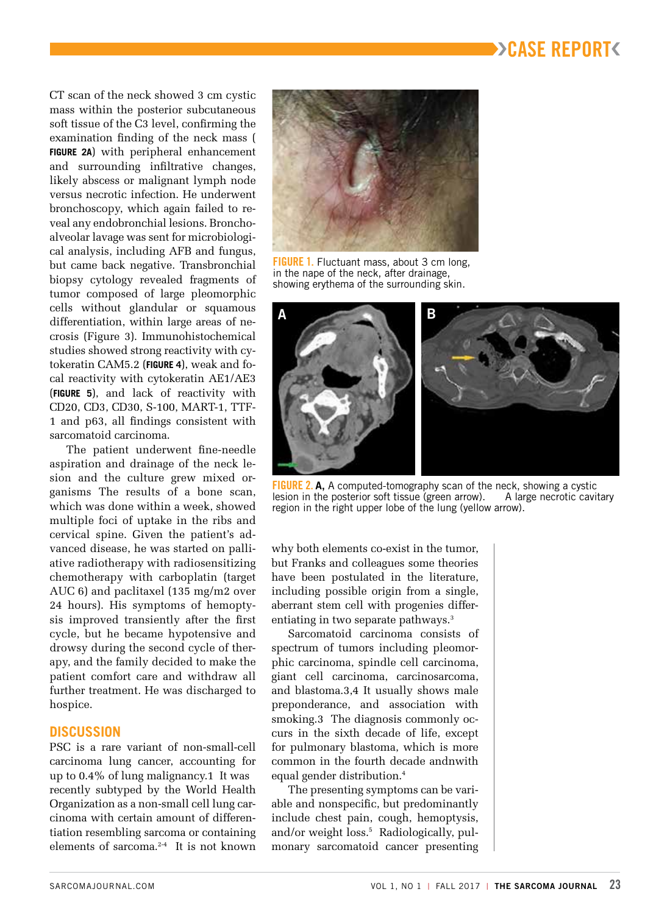# ››CASE REPORT‹

CT scan of the neck showed 3 cm cystic mass within the posterior subcutaneous soft tissue of the C3 level, confirming the examination finding of the neck mass ( **FIGURE 2A**) with peripheral enhancement and surrounding infiltrative changes, likely abscess or malignant lymph node versus necrotic infection. He underwent bronchoscopy, which again failed to reveal any endobronchial lesions. Bronchoalveolar lavage was sent for microbiological analysis, including AFB and fungus, but came back negative. Transbronchial biopsy cytology revealed fragments of tumor composed of large pleomorphic cells without glandular or squamous differentiation, within large areas of necrosis (Figure 3). Immunohistochemical studies showed strong reactivity with cytokeratin CAM5.2 (**FIGURE 4**), weak and focal reactivity with cytokeratin AE1/AE3 (**FIGURE 5**), and lack of reactivity with CD20, CD3, CD30, S-100, MART-1, TTF-1 and p63, all findings consistent with sarcomatoid carcinoma.

The patient underwent fine-needle aspiration and drainage of the neck lesion and the culture grew mixed organisms The results of a bone scan, which was done within a week, showed multiple foci of uptake in the ribs and cervical spine. Given the patient's advanced disease, he was started on palliative radiotherapy with radiosensitizing chemotherapy with carboplatin (target AUC 6) and paclitaxel (135 mg/m2 over 24 hours). His symptoms of hemoptysis improved transiently after the first cycle, but he became hypotensive and drowsy during the second cycle of therapy, and the family decided to make the patient comfort care and withdraw all further treatment. He was discharged to hospice.

#### **DISCUSSION**

PSC is a rare variant of non-small-cell carcinoma lung cancer, accounting for up to 0.4% of lung malignancy.1 It was recently subtyped by the World Health Organization as a non-small cell lung carcinoma with certain amount of differentiation resembling sarcoma or containing elements of sarcoma.2-4 It is not known



**FIGURE 1.** Fluctuant mass, about 3 cm long. in the nape of the neck, after drainage, showing erythema of the surrounding skin.



**FIGURE 2. A,** A computed-tomography scan of the neck, showing a cystic<br>lesion in the posterior soft tissue (green arrow). A large necrotic cavitary lesion in the posterior soft tissue (green arrow). region in the right upper lobe of the lung (yellow arrow).

why both elements co-exist in the tumor, but Franks and colleagues some theories have been postulated in the literature, including possible origin from a single, aberrant stem cell with progenies differentiating in two separate pathways.3

Sarcomatoid carcinoma consists of spectrum of tumors including pleomorphic carcinoma, spindle cell carcinoma, giant cell carcinoma, carcinosarcoma, and blastoma.3,4 It usually shows male preponderance, and association with smoking.3 The diagnosis commonly occurs in the sixth decade of life, except for pulmonary blastoma, which is more common in the fourth decade andnwith equal gender distribution.<sup>4</sup>

The presenting symptoms can be variable and nonspecific, but predominantly include chest pain, cough, hemoptysis, and/or weight loss.<sup>5</sup> Radiologically, pulmonary sarcomatoid cancer presenting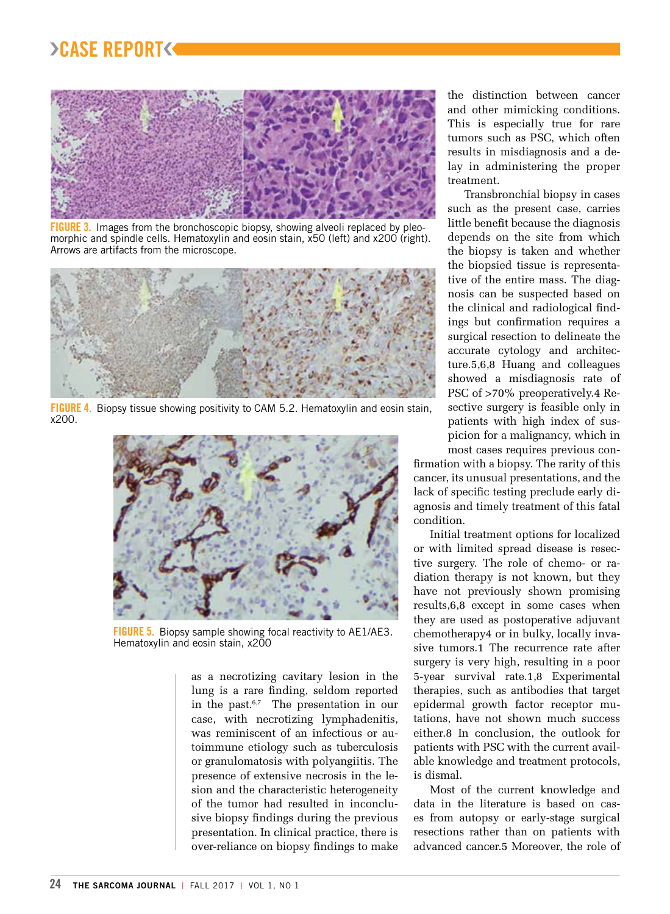# ›CASE REPORT‹



FIGURE 3. Images from the bronchoscopic biopsy, showing alveoli replaced by pleomorphic and spindle cells. Hematoxylin and eosin stain, x50 (left) and x200 (right). Arrows are artifacts from the microscope.



FIGURE 4. Biopsy tissue showing positivity to CAM 5.2. Hematoxylin and eosin stain, x200.



FIGURE 5.Biopsy sample showing focal reactivity to AE1/AE3. Hematoxylin and eosin stain, x200

as a necrotizing cavitary lesion in the lung is a rare finding, seldom reported in the past.6,7 The presentation in our case, with necrotizing lymphadenitis, was reminiscent of an infectious or autoimmune etiology such as tuberculosis or granulomatosis with polyangiitis. The presence of extensive necrosis in the lesion and the characteristic heterogeneity of the tumor had resulted in inconclusive biopsy findings during the previous presentation. In clinical practice, there is over-reliance on biopsy findings to make the distinction between cancer and other mimicking conditions. This is especially true for rare tumors such as PSC, which often results in misdiagnosis and a delay in administering the proper treatment.

Transbronchial biopsy in cases such as the present case, carries little benefit because the diagnosis depends on the site from which the biopsy is taken and whether the biopsied tissue is representative of the entire mass. The diagnosis can be suspected based on the clinical and radiological findings but confirmation requires a surgical resection to delineate the accurate cytology and architecture.5,6,8 Huang and colleagues showed a misdiagnosis rate of PSC of >70% preoperatively.4 Resective surgery is feasible only in patients with high index of suspicion for a malignancy, which in most cases requires previous con-

firmation with a biopsy. The rarity of this cancer, its unusual presentations, and the lack of specific testing preclude early diagnosis and timely treatment of this fatal condition.

Initial treatment options for localized or with limited spread disease is resective surgery. The role of chemo- or radiation therapy is not known, but they have not previously shown promising results,6,8 except in some cases when they are used as postoperative adjuvant chemotherapy4 or in bulky, locally invasive tumors.1 The recurrence rate after surgery is very high, resulting in a poor 5-year survival rate.1,8 Experimental therapies, such as antibodies that target epidermal growth factor receptor mutations, have not shown much success either.8 In conclusion, the outlook for patients with PSC with the current available knowledge and treatment protocols, is dismal.

Most of the current knowledge and data in the literature is based on cases from autopsy or early-stage surgical resections rather than on patients with advanced cancer.5 Moreover, the role of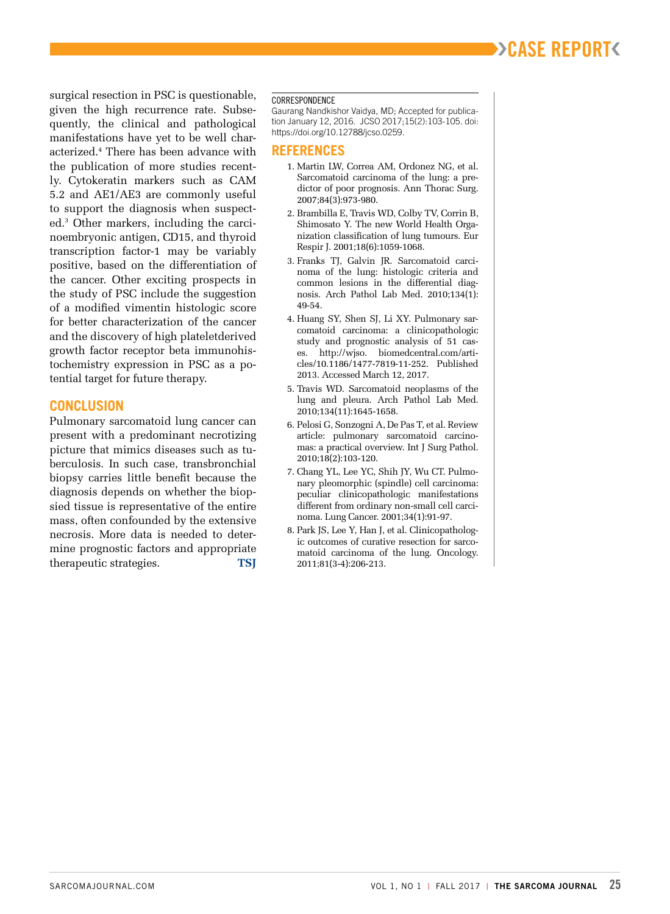# ››CASE REPORT‹

surgical resection in PSC is questionable, given the high recurrence rate. Subsequently, the clinical and pathological manifestations have yet to be well characterized.4 There has been advance with the publication of more studies recently. Cytokeratin markers such as CAM 5.2 and AE1/AE3 are commonly useful to support the diagnosis when suspected.3 Other markers, including the carcinoembryonic antigen, CD15, and thyroid transcription factor-1 may be variably positive, based on the differentiation of the cancer. Other exciting prospects in the study of PSC include the suggestion of a modified vimentin histologic score for better characterization of the cancer and the discovery of high plateletderived growth factor receptor beta immunohistochemistry expression in PSC as a potential target for future therapy.

#### **CONCLUSION**

Pulmonary sarcomatoid lung cancer can present with a predominant necrotizing picture that mimics diseases such as tuberculosis. In such case, transbronchial biopsy carries little benefit because the diagnosis depends on whether the biopsied tissue is representative of the entire mass, often confounded by the extensive necrosis. More data is needed to determine prognostic factors and appropriate therapeutic strategies. **TSJ**

#### **CORRESPONDENCE**

Gaurang Nandkishor Vaidya, MD; Accepted for publication January 12, 2016. JCSO 2017;15(2):103-105. doi: https://doi.org/10.12788/jcso.0259.

#### **REFERENCES**

- 1. Martin LW, Correa AM, Ordonez NG, et al. Sarcomatoid carcinoma of the lung: a predictor of poor prognosis. Ann Thorac Surg. 2007;84(3):973-980.
- 2. Brambilla E, Travis WD, Colby TV, Corrin B, Shimosato Y. The new World Health Organization classification of lung tumours. Eur Respir J. 2001;18(6):1059-1068.
- 3. Franks TJ, Galvin JR. Sarcomatoid carcinoma of the lung: histologic criteria and common lesions in the differential diagnosis. Arch Pathol Lab Med. 2010;134(1): 49-54.
- 4. Huang SY, Shen SJ, Li XY. Pulmonary sarcomatoid carcinoma: a clinicopathologic study and prognostic analysis of 51 cases. http://wjso. biomedcentral.com/articles/10.1186/1477-7819-11-252. Published 2013. Accessed March 12, 2017.
- 5. Travis WD. Sarcomatoid neoplasms of the lung and pleura. Arch Pathol Lab Med. 2010;134(11):1645-1658.
- 6. Pelosi G, Sonzogni A, De Pas T, et al. Review article: pulmonary sarcomatoid carcinomas: a practical overview. Int J Surg Pathol. 2010;18(2):103-120.
- 7. Chang YL, Lee YC, Shih JY, Wu CT. Pulmonary pleomorphic (spindle) cell carcinoma: peculiar clinicopathologic manifestations different from ordinary non-small cell carcinoma. Lung Cancer. 2001;34(1):91-97.
- 8. Park JS, Lee Y, Han J, et al. Clinicopathologic outcomes of curative resection for sarcomatoid carcinoma of the lung. Oncology. 2011;81(3-4):206-213.